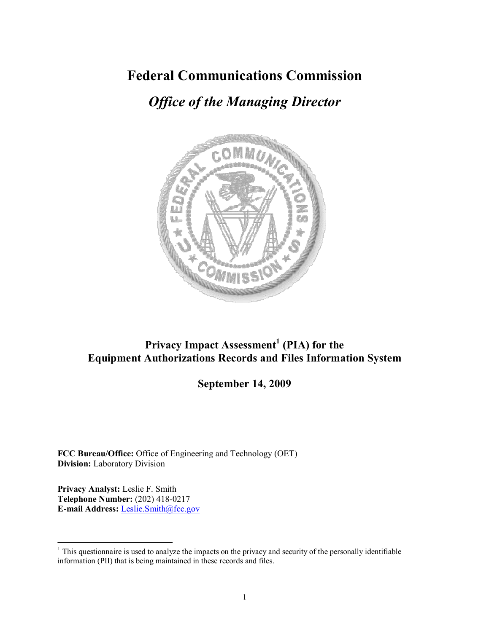# **Federal Communications Commission**

# *Office of the Managing Director*



# **Privacy Impact Assessment<sup>1</sup>(PIA) for the Equipment Authorizations Records and Files Information System**

# **September 14, 2009**

**FCC Bureau/Office:** Office of Engineering and Technology (OET) **Division:** Laboratory Division

**Privacy Analyst:** Leslie F. Smith **Telephone Number:** (202) 418-0217 **E-mail Address:** Leslie.Smith@fcc.gov

<sup>&</sup>lt;sup>1</sup> This questionnaire is used to analyze the impacts on the privacy and security of the personally identifiable information (PII) that is being maintained in these records and files.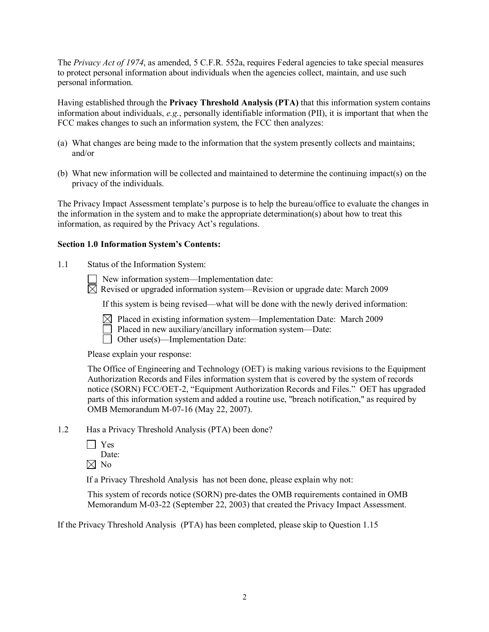The *Privacy Act of 1974*, as amended, 5 C.F.R. 552a, requires Federal agencies to take special measures to protect personal information about individuals when the agencies collect, maintain, and use such personal information.

Having established through the **Privacy Threshold Analysis (PTA)** that this information system contains information about individuals, *e.g.*, personally identifiable information (PII), it is important that when the FCC makes changes to such an information system, the FCC then analyzes:

- (a) What changes are being made to the information that the system presently collects and maintains; and/or
- (b) What new information will be collected and maintained to determine the continuing impact(s) on the privacy of the individuals.

The Privacy Impact Assessment template's purpose is to help the bureau/office to evaluate the changes in the information in the system and to make the appropriate determination(s) about how to treat this information, as required by the Privacy Act's regulations.

#### **Section 1.0 Information System's Contents:**

1.1 Status of the Information System:

New information system—Implementation date:

 $\boxtimes$  Revised or upgraded information system—Revision or upgrade date: March 2009

If this system is being revised—what will be done with the newly derived information:

- $\boxtimes$  Placed in existing information system—Implementation Date: March 2009
- Placed in new auxiliary/ancillary information system—Date:
- $\Box$  Other use(s)—Implementation Date:

Please explain your response:

The Office of Engineering and Technology (OET) is making various revisions to the Equipment Authorization Records and Files information system that is covered by the system of records notice (SORN) FCC/OET-2, "Equipment Authorization Records and Files." OET has upgraded parts of this information system and added a routine use, "breach notification," as required by OMB Memorandum M-07-16 (May 22, 2007).

- 1.2 Has a Privacy Threshold Analysis (PTA) been done?
	- Yes

Date:

 $\boxtimes$  No

If a Privacy Threshold Analysis has not been done, please explain why not:

This system of records notice (SORN) predates the OMB requirements contained in OMB Memorandum M-03-22 (September 22, 2003) that created the Privacy Impact Assessment.

If the Privacy Threshold Analysis (PTA) has been completed, please skip to Question 1.15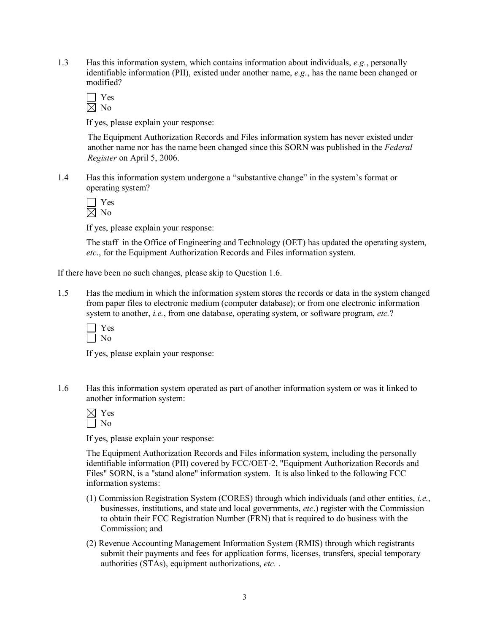1.3 Has this information system, which contains information about individuals, *e.g.*, personally identifiable information (PII), existed under another name, *e.g.*, has the name been changed or modified?

Yes  $\overline{\boxtimes}$  No

If yes, please explain your response:

The Equipment Authorization Records and Files information system has never existed under another name nor has the name been changed since this SORN was published in the *Federal Register* on April 5, 2006.

1.4 Has this information system undergone a "substantive change" in the system's format or operating system?

Yes  $\boxtimes$  No

If yes, please explain your response:

The staff in the Office of Engineering and Technology (OET) has updated the operating system, *etc*., for the Equipment Authorization Records and Files information system.

If there have been no such changes, please skip to Question 1.6.

1.5 Has the medium in which the information system stores the records or data in the system changed from paper files to electronic medium (computer database); or from one electronic information system to another, *i.e.*, from one database, operating system, or software program, *etc.*?

| r. |  |
|----|--|
|    |  |

If yes, please explain your response:

1.6 Has this information system operated as part of another information system or was it linked to another information system:

Yes  $\Box$  No

If yes, please explain your response:

The Equipment Authorization Records and Files information system, including the personally identifiable information (PII) covered by FCC/OET-2, "Equipment Authorization Records and Files" SORN, is a "stand alone" information system. It is also linked to the following FCC information systems:

- (1) Commission Registration System (CORES) through which individuals (and other entities, *i.e.*, businesses, institutions, and state and local governments, *etc*.) register with the Commission to obtain their FCC Registration Number (FRN) that is required to do business with the Commission; and
- (2) Revenue Accounting Management Information System (RMIS) through which registrants submit their payments and fees for application forms, licenses, transfers, special temporary authorities (STAs), equipment authorizations, *etc.* .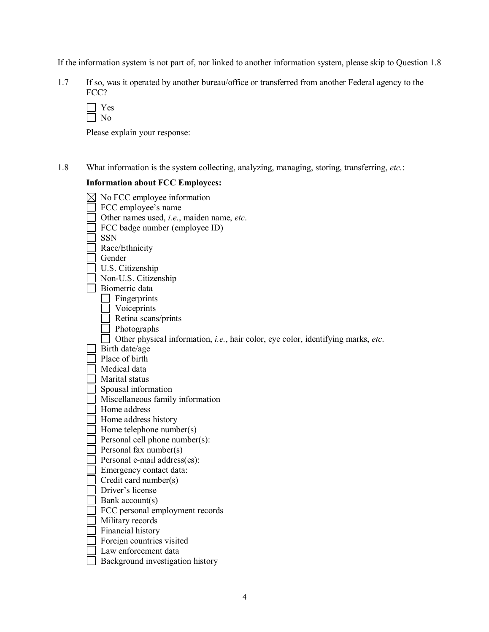If the information system is not part of, nor linked to another information system, please skip to Question 1.8

1.7 If so, was it operated by another bureau/office or transferred from another Federal agency to the FCC?

| - |
|---|
|   |

Please explain your response:

1.8 What information is the system collecting, analyzing, managing, storing, transferring, *etc.*:

## **Information about FCC Employees:**

| No FCC employee information                                                              |
|------------------------------------------------------------------------------------------|
| FCC employee's name                                                                      |
| Other names used, <i>i.e.</i> , maiden name, etc.                                        |
| FCC badge number (employee ID)                                                           |
| <b>SSN</b>                                                                               |
| Race/Ethnicity                                                                           |
| Gender                                                                                   |
| U.S. Citizenship                                                                         |
| Non-U.S. Citizenship                                                                     |
| Biometric data                                                                           |
| Fingerprints                                                                             |
| Voiceprints                                                                              |
| Retina scans/prints                                                                      |
| Photographs                                                                              |
| Other physical information, <i>i.e.</i> , hair color, eye color, identifying marks, etc. |
| Birth date/age                                                                           |
| Place of birth                                                                           |
| Medical data                                                                             |
| Marital status                                                                           |
| Spousal information                                                                      |
| Miscellaneous family information                                                         |
| Home address                                                                             |
| Home address history                                                                     |
| Home telephone number(s)                                                                 |
| Personal cell phone number(s):                                                           |
| Personal fax number(s)                                                                   |
| Personal e-mail address(es):                                                             |
| Emergency contact data:                                                                  |
| Credit card number(s)                                                                    |
| Driver's license                                                                         |
| Bank account(s)                                                                          |
| FCC personal employment records                                                          |
| Military records                                                                         |
| Financial history                                                                        |
| Foreign countries visited                                                                |
| Law enforcement data                                                                     |
| Background investigation history                                                         |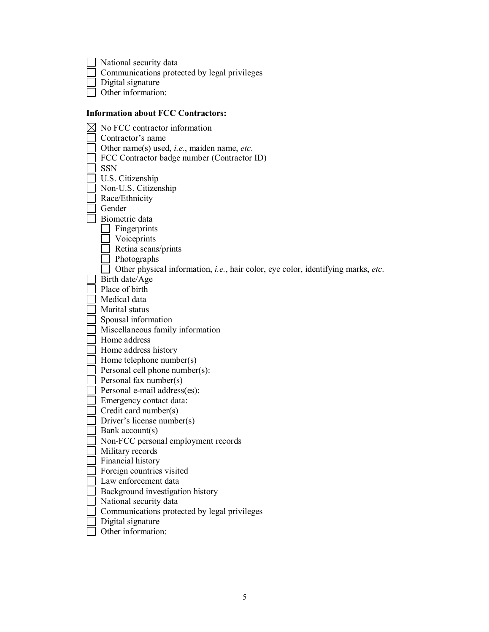National security data

Communications protected by legal privileges

Digital signature

Other information:

# **Information about FCC Contractors:**

| No FCC contractor information                                                    |
|----------------------------------------------------------------------------------|
| Contractor's name                                                                |
| Other name(s) used, <i>i.e.</i> , maiden name, <i>etc.</i>                       |
| FCC Contractor badge number (Contractor ID)                                      |
| <b>SSN</b>                                                                       |
| U.S. Citizenship                                                                 |
| Non-U.S. Citizenship                                                             |
| Race/Ethnicity                                                                   |
| Gender                                                                           |
| Biometric data                                                                   |
| Fingerprints                                                                     |
| Voiceprints                                                                      |
| Retina scans/prints                                                              |
| Photographs                                                                      |
| Other physical information, i.e., hair color, eye color, identifying marks, etc. |
| Birth date/Age                                                                   |
| Place of birth                                                                   |
| Medical data                                                                     |
| Marital status                                                                   |
| Spousal information                                                              |
| Miscellaneous family information                                                 |
| Home address                                                                     |
| Home address history                                                             |
| Home telephone number(s)                                                         |
| Personal cell phone number(s):                                                   |
| Personal fax number(s)                                                           |
| Personal e-mail address(es):                                                     |
| Emergency contact data:                                                          |
| Credit card number(s)                                                            |
| Driver's license number(s)                                                       |
| Bank account(s)                                                                  |
| Non-FCC personal employment records                                              |
| Military records                                                                 |
| Financial history                                                                |
| Foreign countries visited                                                        |
| Law enforcement data                                                             |
| Background investigation history                                                 |
| National security data                                                           |
| Communications protected by legal privileges                                     |
| Digital signature                                                                |
| Other information:                                                               |
|                                                                                  |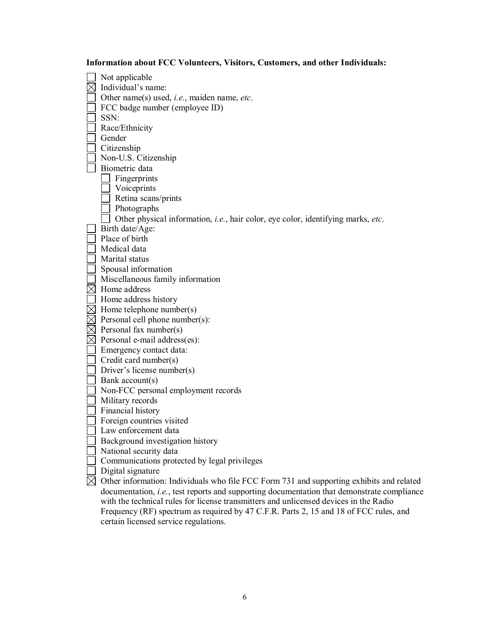**Information about FCC Volunteers, Visitors, Customers, and other Individuals:**

Not applicable  $\boxtimes$  Individual's name: Other name(s) used, *i.e.*, maiden name, *etc*.  $\Box$  FCC badge number (employee ID)  $\Box$  SSN: Race/Ethnicity Gender  $\overline{\phantom{a}}$  Citizenship Non-U.S. Citizenship Biometric data  $\Box$  Fingerprints  $\Box$  Voiceprints  $\Box$  Retina scans/prints Photographs □ Other physical information, *i.e.*, hair color, eye color, identifying marks, *etc*. Birth date/Age: Place of birth  $\Box$  Medical data Marital status Spousal information Miscellaneous family information  $\boxtimes$  Home address  $\Box$  Home address history  $\overline{\boxtimes}$  Home telephone number(s)  $\boxtimes$  Personal cell phone number(s):  $\boxtimes$  Personal fax number(s)  $\boxtimes$  Personal e-mail address(es):  $\Box$  Emergency contact data:  $\Box$  Credit card number(s) Driver's license number(s)  $\Box$  Bank account(s) Non-FCC personal employment records  $\Box$  Military records  $\Box$  Financial history  $\Box$  Foreign countries visited **Law** enforcement data Background investigation history National security data Communications protected by legal privileges  $\Box$  Digital signature  $\boxtimes$  Other information: Individuals who file FCC Form 731 and supporting exhibits and related documentation, *i.e.*, test reports and supporting documentation that demonstrate compliance with the technical rules for license transmitters and unlicensed devices in the Radio Frequency (RF) spectrum as required by 47 C.F.R. Parts 2, 15 and 18 of FCC rules, and certain licensed service regulations.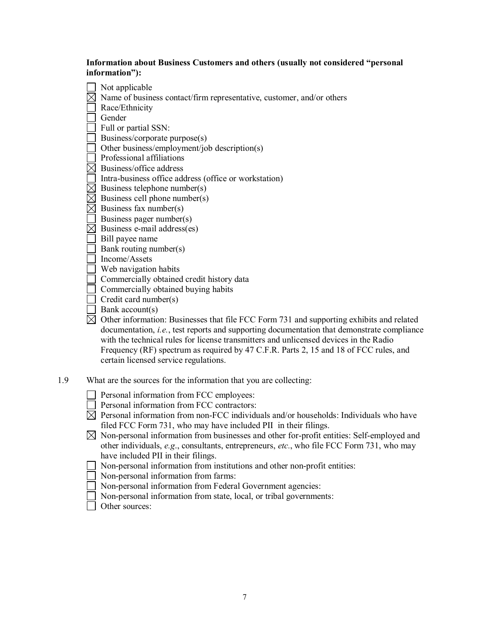#### **Information about Business Customers and others (usually not considered "personal information"):**

 $\Box$  Not applicable  $\boxtimes$  Name of business contact/firm representative, customer, and/or others Race/Ethnicity Gender  $\Box$  Full or partial SSN:  $\Box$  Business/corporate purpose(s) Other business/employment/job description(s) Professional affiliations  $\boxtimes$  Business/office address  $\Box$  Intra-business office address (office or workstation)  $\boxtimes$  Business telephone number(s)  $\overline{\boxtimes}$  Business cell phone number(s)  $\boxtimes$  Business fax number(s) Business pager number(s)  $\boxtimes$  Business e-mail address(es) Bill payee name  $\Box$  Bank routing number(s)  $\Box$  Income/Assets  $\Box$  Web navigation habits Commercially obtained credit history data  $\Box$  Commercially obtained buying habits  $\Box$  Credit card number(s)  $\Box$  Bank account(s)  $\boxtimes$  Other information: Businesses that file FCC Form 731 and supporting exhibits and related documentation, *i.e.*, test reports and supporting documentation that demonstrate compliance with the technical rules for license transmitters and unlicensed devices in the Radio Frequency (RF) spectrum as required by 47 C.F.R. Parts 2, 15 and 18 of FCC rules, and certain licensed service regulations.

1.9 What are the sources for the information that you are collecting:

Personal information from FCC employees:

- Personal information from FCC contractors:
- $\boxtimes$  Personal information from non-FCC individuals and/or households: Individuals who have filed FCC Form 731, who may have included PII in their filings.
- $\boxtimes$  Non-personal information from businesses and other for-profit entities: Self-employed and other individuals, *e.g*., consultants, entrepreneurs, *etc.*, who file FCC Form 731, who may have included PII in their filings.
- $\Box$  Non-personal information from institutions and other non-profit entities:
- $\Box$  Non-personal information from farms:
- $\Box$  Non-personal information from Federal Government agencies:
- $\Box$  Non-personal information from state, local, or tribal governments:
- Other sources: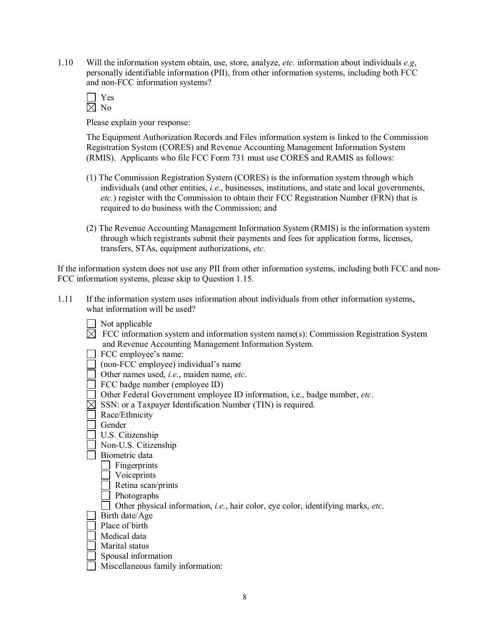1.10 Will the information system obtain, use, store, analyze, *etc*. information about individuals *e.g*, personally identifiable information (PII), from other information systems, including both FCC and non-FCC information systems?

| ═ |
|---|
|   |

Please explain your response:

The Equipment Authorization Records and Files information system is linked to the Commission Registration System (CORES) and Revenue Accounting Management Information System (RMIS). Applicants who file FCC Form 731 must use CORES and RAMIS as follows:

- (1) The Commission Registration System (CORES) is the information system through which individuals (and other entities, *i.e.*, businesses, institutions, and state and local governments, *etc.*) register with the Commission to obtain their FCC Registration Number (FRN) that is required to do business with the Commission; and
- (2) The Revenue Accounting Management Information System (RMIS) is the information system through which registrants submit their payments and fees for application forms, licenses, transfers, STAs, equipment authorizations, *etc.*

If the information system does not use any PII from other information systems, including both FCC and non FCC information systems, please skip to Question 1.15.

- 1.11 If the information system uses information about individuals from other information systems, what information will be used?
	- $\Box$  Not applicable
	- $\overline{\boxtimes}$  FCC information system and information system name(s): Commission Registration System and Revenue Accounting Management Information System.
	- $\Box$  FCC employee's name:
	- $\Box$  (non-FCC employee) individual's name
	- Other names used, *i.e.*, maiden name, *etc*.
	- FCC badge number (employee ID)
	- Other Federal Government employee ID information, i.e., badge number, *etc*.
	- $\boxtimes$  SSN: or a Taxpayer Identification Number (TIN) is required.
	- Race/Ethnicity
	- □ Gender
	- U.S. Citizenship
	- Non-U.S. Citizenship
	- Biometric data
		- $\Box$  Fingerprints
		- Voiceprints
		- Retina scan/prints
		- Photographs
	- Other physical information, *i.e.*, hair color, eye color, identifying marks, *etc.*
	- $|$  Birth date/Age
	- $\Box$  Place of birth
	- Medical data
	- Marital status
	- $\Box$  Spousal information
	- Miscellaneous family information: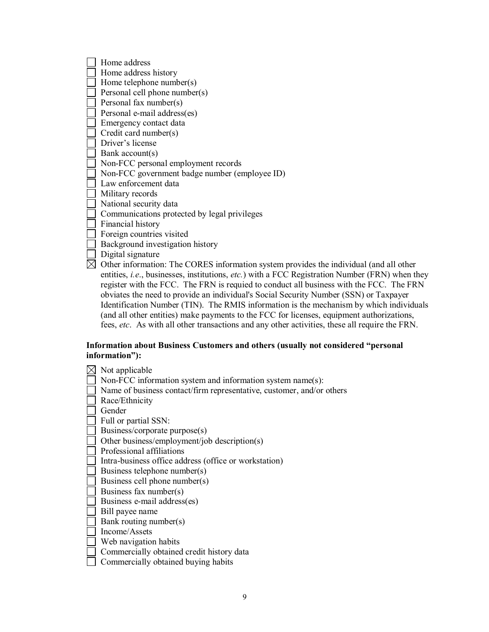|           | Home address                                                                                                                        |
|-----------|-------------------------------------------------------------------------------------------------------------------------------------|
|           | Home address history                                                                                                                |
|           | Home telephone number(s)                                                                                                            |
|           | Personal cell phone number(s)                                                                                                       |
|           | Personal fax number(s)                                                                                                              |
|           | Personal e-mail address(es)                                                                                                         |
|           | Emergency contact data                                                                                                              |
|           | Credit card number(s)                                                                                                               |
|           | Driver's license                                                                                                                    |
|           | Bank $account(s)$                                                                                                                   |
|           | Non-FCC personal employment records                                                                                                 |
|           | Non-FCC government badge number (employee ID)                                                                                       |
|           | Law enforcement data                                                                                                                |
|           | Military records                                                                                                                    |
|           | National security data                                                                                                              |
|           | Communications protected by legal privileges                                                                                        |
|           | Financial history                                                                                                                   |
|           | Foreign countries visited                                                                                                           |
|           | Background investigation history                                                                                                    |
|           | Digital signature                                                                                                                   |
| $\bowtie$ | Other information: The CORES information system provides the individual (and all other                                              |
|           | entities, <i>i.e.</i> , businesses, institutions, <i>etc.</i> ) with a FCC Registration Number (FRN) when they                      |
|           | register with the FCC. The FRN is requied to conduct all business with the FCC. The FRN                                             |
|           | $\mathbf{r}$ and $\mathbf{r}$ and $\mathbf{r}$ and $\mathbf{r}$ and $\mathbf{r}$ and $\mathbf{r}$ and $\mathbf{r}$ and $\mathbf{r}$ |

business with the FCC. The FRN obviates the need to provide an individual's Social Security Number (SSN) or Taxpayer Identification Number (TIN). The RMIS information is the mechanism by which individuals (and all other entities) make payments to the FCC for licenses, equipment authorizations, fees, *etc*. As with all other transactions and any other activities, these all require the FRN.

#### **Information about Business Customers and others (usually not considered "personal information"):**

| Not applicable                                                        |
|-----------------------------------------------------------------------|
| Non-FCC information system and information system name(s):            |
| Name of business contact/firm representative, customer, and/or others |
| Race/Ethnicity                                                        |
| Gender                                                                |
| Full or partial SSN:                                                  |
| Business/corporate purpose(s)                                         |
| Other business/employment/job description(s)                          |
| Professional affiliations                                             |
| Intra-business office address (office or workstation)                 |
| Business telephone number(s)                                          |
| Business cell phone number(s)                                         |
| Business fax number(s)                                                |
| Business e-mail address(es)                                           |
| Bill payee name                                                       |
| Bank routing number(s)                                                |
| Income/Assets                                                         |
| Web navigation habits                                                 |
| Commercially obtained credit history data                             |
| Commercially obtained buying habits                                   |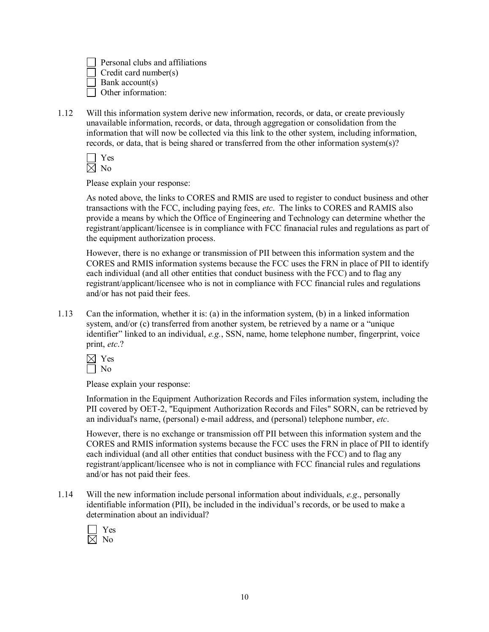Personal clubs and affiliations Credit card number(s) Bank account(s) □ Other information:

1.12 Will this information system derive new information, records, or data, or create previously unavailable information, records, or data, through aggregation or consolidation from the information that will now be collected via this link to the other system, including information, records, or data, that is being shared or transferred from the other information system(s)?

| - |  |
|---|--|
|   |  |

Please explain your response:

As noted above, the links to CORES and RMIS are used to register to conduct business and other transactions with the FCC, including paying fees, *etc*. The links to CORES and RAMIS also provide a means by which the Office of Engineering and Technology can determine whether the registrant/applicant/licensee is in compliance with FCC finanacial rules and regulations as part of the equipment authorization process.

However, there is no exhange or transmission of PII between this information system and the CORES and RMIS information systems because the FCC uses the FRN in place of PII to identify each individual (and all other entities that conduct business with the FCC) and to flag any registrant/applicant/licensee who is not in compliance with FCC financial rules and regulations and/or has not paid their fees.

1.13 Can the information, whether it is: (a) in the information system, (b) in a linked information system, and/or (c) transferred from another system, be retrieved by a name or a "unique identifier" linked to an individual, *e.g.*, SSN, name, home telephone number, fingerprint, voice print, *etc*.?

| ▀  |  |
|----|--|
| 'N |  |

Please explain your response:

Information in the Equipment Authorization Records and Files information system, including the PII covered by OET-2, "Equipment Authorization Records and Files" SORN, can be retrieved by an individual's name, (personal) e-mail address, and (personal) telephone number, *etc*.

However, there is no exchange or transmission off PII between this information system and the CORES and RMIS information systems because the FCC uses the FRN in place of PII to identify each individual (and all other entities that conduct business with the FCC) and to flag any registrant/applicant/licensee who is not in compliance with FCC financial rules and regulations and/or has not paid their fees.

1.14 Will the new information include personal information about individuals, *e.g*., personally identifiable information (PII), be included in the individual's records, or be used to make a determination about an individual?

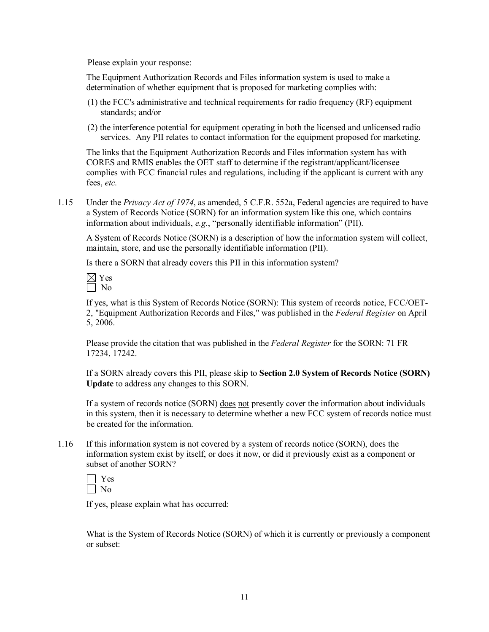Please explain your response:

The Equipment Authorization Records and Files information system is used to make a determination of whether equipment that is proposed for marketing complies with:

- (1) the FCC's administrative and technical requirements for radio frequency (RF) equipment standards; and/or
- (2) the interference potential for equipment operating in both the licensed and unlicensed radio services. Any PII relates to contact information for the equipment proposed for marketing.

The links that the Equipment Authorization Records and Files information system has with CORES and RMIS enables the OET staff to determine if the registrant/applicant/licensee complies with FCC financial rules and regulations, including if the applicant is current with any fees, *etc.*

1.15 Under the *Privacy Act of 1974*, as amended, 5 C.F.R. 552a, Federal agencies are required to have a System of Records Notice (SORN) for an information system like this one, which contains information about individuals, *e.g.*, "personally identifiable information" (PII).

A System of Records Notice (SORN) is a description of how the information system will collect, maintain, store, and use the personally identifiable information (PII).

Is there a SORN that already covers this PII in this information system?

 $\boxtimes$  Yes  $\Box$  No

If yes, what is this System of Records Notice (SORN): This system of records notice, FCC/OET 2, "Equipment Authorization Records and Files," was published in the *Federal Register* on April 5, 2006.

Please provide the citation that was published in the *Federal Register* for the SORN: 71 FR 17234, 17242.

If a SORN already covers this PII, please skip to **Section 2.0 System of Records Notice (SORN) Update** to address any changes to this SORN.

If a system of records notice (SORN) does not presently cover the information about individuals in this system, then it is necessary to determine whether a new FCC system of records notice must be created for the information.

1.16 If this information system is not covered by a system of records notice (SORN), does the information system exist by itself, or does it now, or did it previously exist as a component or subset of another SORN?

| − |  |
|---|--|
|   |  |

If yes, please explain what has occurred:

What is the System of Records Notice (SORN) of which it is currently or previously a component or subset: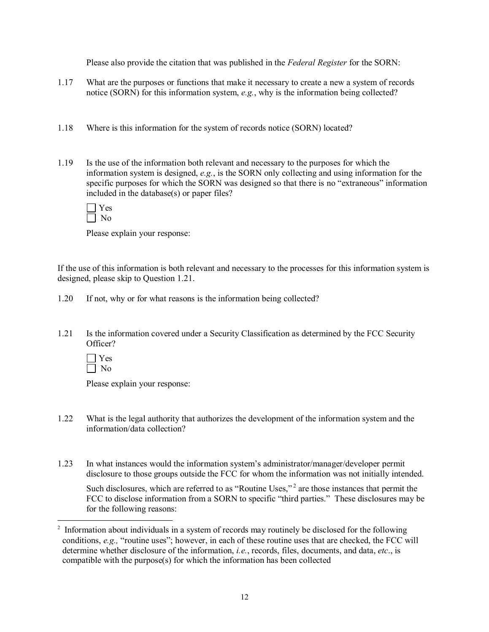Please also provide the citation that was published in the *Federal Register* for the SORN:

- 1.17 What are the purposes or functions that make it necessary to create a new a system of records notice (SORN) for this information system, *e.g.*, why is the information being collected?
- 1.18 Where is this information for the system of records notice (SORN) located?
- 1.19 Is the use of the information both relevant and necessary to the purposes for which the information system is designed, *e.g.*, is the SORN only collecting and using information for the specific purposes for which the SORN was designed so that there is no "extraneous" information included in the database(s) or paper files?

Please explain your response:

If the use of this information is both relevant and necessary to the processes for this information system is designed, please skip to Question 1.21.

- 1.20 If not, why or for what reasons is the information being collected?
- 1.21 Is the information covered under a Security Classification as determined by the FCC Security Officer?

| Ξ |  |
|---|--|
|   |  |

Please explain your response:

- 1.22 What is the legal authority that authorizes the development of the information system and the information/data collection?
- 1.23 In what instances would the information system's administrator/manager/developer permit disclosure to those groups outside the FCC for whom the information was not initially intended.

Such disclosures, which are referred to as "Routine Uses,"<sup>2</sup> are those instances that permit the FCC to disclose information from a SORN to specific "third parties." These disclosures may be for the following reasons:

<sup>2</sup> Information about individuals in a system of records may routinely be disclosed for the following conditions, *e.g.,* "routine uses"; however, in each of these routine uses that are checked, the FCC will determine whether disclosure of the information, *i.e.*, records, files, documents, and data, *etc*., is compatible with the purpose(s) for which the information has been collected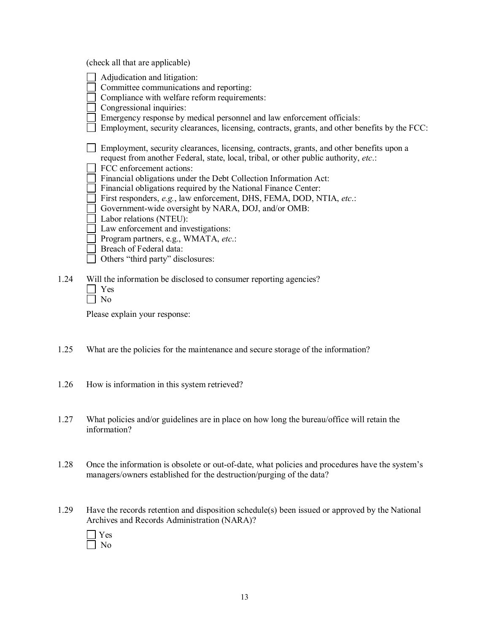(check all that are applicable)

|      | Adjudication and litigation:                                                                  |
|------|-----------------------------------------------------------------------------------------------|
|      | Committee communications and reporting:                                                       |
|      | Compliance with welfare reform requirements:                                                  |
|      | Congressional inquiries:                                                                      |
|      | Emergency response by medical personnel and law enforcement officials:                        |
|      | Employment, security clearances, licensing, contracts, grants, and other benefits by the FCC: |
|      |                                                                                               |
|      | Employment, security clearances, licensing, contracts, grants, and other benefits upon a      |
|      | request from another Federal, state, local, tribal, or other public authority, etc.:          |
|      | FCC enforcement actions:                                                                      |
|      | Financial obligations under the Debt Collection Information Act:                              |
|      | Financial obligations required by the National Finance Center:                                |
|      |                                                                                               |
|      | First responders, e.g., law enforcement, DHS, FEMA, DOD, NTIA, etc.:                          |
|      | Government-wide oversight by NARA, DOJ, and/or OMB:                                           |
|      | Labor relations (NTEU):                                                                       |
|      | Law enforcement and investigations:                                                           |
|      | Program partners, e.g., WMATA, etc.:                                                          |
|      | Breach of Federal data:                                                                       |
|      | Others "third party" disclosures:                                                             |
|      |                                                                                               |
| 1.24 | Will the information be disclosed to consumer reporting agencies?                             |
|      | Yes                                                                                           |
|      | No                                                                                            |
|      |                                                                                               |

Please explain your response:

- 1.25 What are the policies for the maintenance and secure storage of the information?
- 1.26 How is information in this system retrieved?
- 1.27 What policies and/or guidelines are in place on how long the bureau/office will retain the information?
- 1.28 Once the information is obsolete or out-of-date, what policies and procedures have the system's managers/owners established for the destruction/purging of the data?
- 1.29 Have the records retention and disposition schedule(s) been issued or approved by the National Archives and Records Administration (NARA)?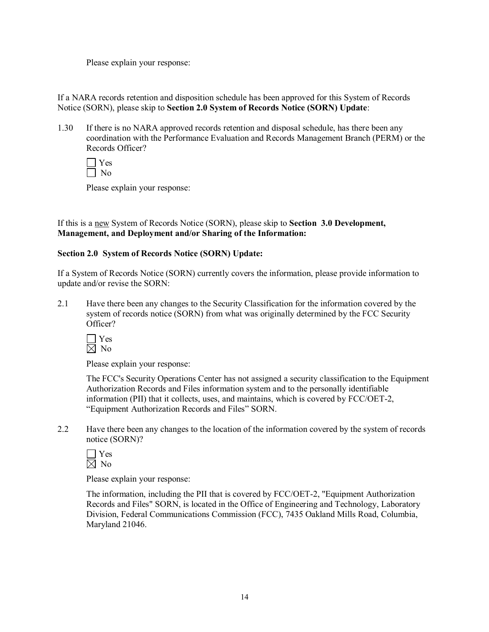Please explain your response:

If a NARA records retention and disposition schedule has been approved for this System of Records Notice (SORN), please skip to **Section 2.0 System of Records Notice (SORN) Update**:

1.30 If there is no NARA approved records retention and disposal schedule, has there been any coordination with the Performance Evaluation and Records Management Branch (PERM) or the Records Officer?

Yes  $\overline{\Box}$  No

Please explain your response:

If this is a new System of Records Notice (SORN), please skip to **Section 3.0 Development, Management, and Deployment and/or Sharing of the Information:**

#### **Section 2.0 System of Records Notice (SORN) Update:**

If a System of Records Notice (SORN) currently covers the information, please provide information to update and/or revise the SORN:

2.1 Have there been any changes to the Security Classification for the information covered by the system of records notice (SORN) from what was originally determined by the FCC Security Officer?



Please explain your response:

The FCC's Security Operations Center has not assigned a security classification to the Equipment Authorization Records and Files information system and to the personally identifiable information (PII) that it collects, uses, and maintains, which is covered by FCC/OET2, "Equipment Authorization Records and Files" SORN.

2.2 Have there been any changes to the location of the information covered by the system of records notice (SORN)?

| - |  |
|---|--|
| D |  |

Please explain your response:

The information, including the PII that is covered by FCC/OET-2, "Equipment Authorization Records and Files" SORN, is located in the Office of Engineering and Technology, Laboratory Division, Federal Communications Commission (FCC), 7435 Oakland Mills Road, Columbia, Maryland 21046.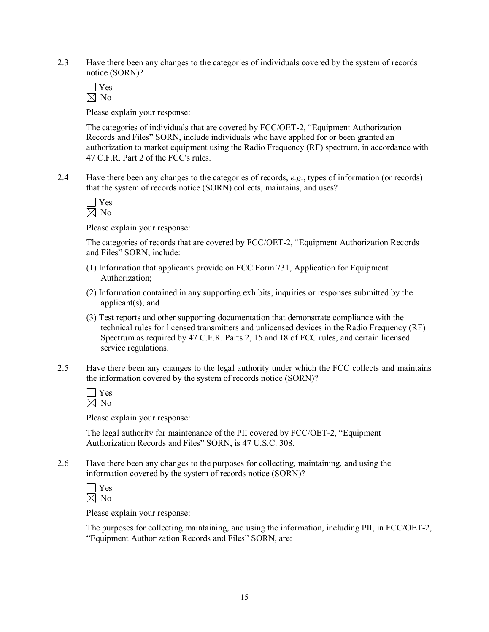2.3 Have there been any changes to the categories of individuals covered by the system of records notice (SORN)?

 $\Box$  Yes  $\boxtimes$  No

Please explain your response:

The categories of individuals that are covered by FCC/OET-2, "Equipment Authorization Records and Files" SORN, include individuals who have applied for or been granted an authorization to market equipment using the Radio Frequency (RF) spectrum, in accordance with 47 C.F.R. Part 2 of the FCC's rules.

2.4 Have there been any changes to the categories of records, *e.g.*, types of information (or records) that the system of records notice (SORN) collects, maintains, and uses?

| - |
|---|
|   |

Please explain your response:

The categories of records that are covered by FCC/OET-2, "Equipment Authorization Records and Files" SORN, include:

- (1) Information that applicants provide on FCC Form 731, Application for Equipment Authorization;
- (2) Information contained in any supporting exhibits, inquiries or responses submitted by the applicant(s); and
- (3) Test reports and other supporting documentation that demonstrate compliance with the technical rules for licensed transmitters and unlicensed devices in the Radio Frequency (RF) Spectrum as required by 47 C.F.R. Parts 2, 15 and 18 of FCC rules, and certain licensed service regulations.
- 2.5 Have there been any changes to the legal authority under which the FCC collects and maintains the information covered by the system of records notice (SORN)?

 $\Box$  Yes  $\boxtimes$  No

Please explain your response:

The legal authority for maintenance of the PII covered by FCC/OET-2, "Equipment Authorization Records and Files" SORN, is 47 U.S.C. 308.

2.6 Have there been any changes to the purposes for collecting, maintaining, and using the information covered by the system of records notice (SORN)?

| US.     |  |
|---------|--|
| J.<br>า |  |

Please explain your response:

The purposes for collecting maintaining, and using the information, including PII, in FCC/OET-2, "Equipment Authorization Records and Files" SORN, are: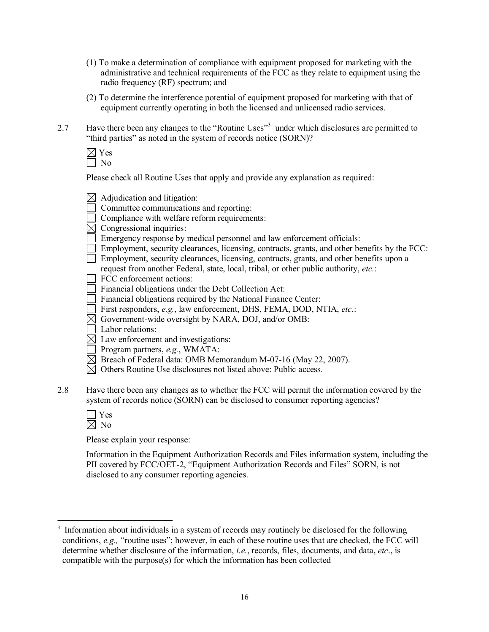- (1) To make a determination of compliance with equipment proposed for marketing with the administrative and technical requirements of the FCC as they relate to equipment using the radio frequency (RF) spectrum; and
- (2) To determine the interference potential of equipment proposed for marketing with that of equipment currently operating in both the licensed and unlicensed radio services.
- 2.7 Have there been any changes to the "Routine Uses"<sup>3</sup> under which disclosures are permitted to "third parties" as noted in the system of records notice (SORN)?
	- $\boxtimes$  Yes No

Please check all Routine Uses that apply and provide any explanation as required:

|     | Adjudication and litigation:                                                                  |
|-----|-----------------------------------------------------------------------------------------------|
|     | Committee communications and reporting:                                                       |
|     | Compliance with welfare reform requirements:                                                  |
|     | Congressional inquiries:                                                                      |
|     | Emergency response by medical personnel and law enforcement officials:                        |
|     | Employment, security clearances, licensing, contracts, grants, and other benefits by the FCC: |
|     | Employment, security clearances, licensing, contracts, grants, and other benefits upon a      |
|     | request from another Federal, state, local, tribal, or other public authority, etc.:          |
|     | FCC enforcement actions:                                                                      |
|     | Financial obligations under the Debt Collection Act:                                          |
|     | Financial obligations required by the National Finance Center:                                |
|     | First responders, e.g., law enforcement, DHS, FEMA, DOD, NTIA, etc.:                          |
|     | Government-wide oversight by NARA, DOJ, and/or OMB:                                           |
|     | Labor relations:                                                                              |
|     | Law enforcement and investigations:                                                           |
|     | Program partners, e.g., WMATA:                                                                |
|     | Breach of Federal data: OMB Memorandum M-07-16 (May 22, 2007).                                |
|     | Others Routine Use disclosures not listed above: Public access.                               |
|     |                                                                                               |
| 2.8 | Have there been any changes as to whether the FCC will permit the information covered by the  |
|     | system of records notice (SORN) can be disclosed to consumer reporting agencies?              |
|     | $V_{\alpha\alpha}$                                                                            |

Please explain your response:

Information in the Equipment Authorization Records and Files information system, including the PII covered by FCC/OET-2, "Equipment Authorization Records and Files" SORN, is not disclosed to any consumer reporting agencies.

Information about individuals in a system of records may routinely be disclosed for the following conditions, *e.g.,* "routine uses"; however, in each of these routine uses that are checked, the FCC will determine whether disclosure of the information, *i.e.*, records, files, documents, and data, *etc*., is compatible with the purpose(s) for which the information has been collected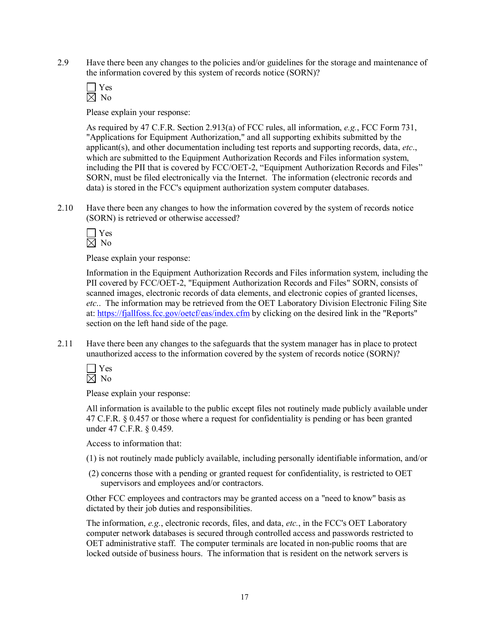2.9 Have there been any changes to the policies and/or guidelines for the storage and maintenance of the information covered by this system of records notice (SORN)?

Yes  $\boxtimes$  No

Please explain your response:

As required by 47 C.F.R. Section 2.913(a) of FCC rules, all information, *e.g.*, FCC Form 731, "Applications for Equipment Authorization," and all supporting exhibits submitted by the applicant(s), and other documentation including test reports and supporting records, data, *etc*., which are submitted to the Equipment Authorization Records and Files information system, including the PII that is covered by FCC/OET-2, "Equipment Authorization Records and Files" SORN, must be filed electronically via the Internet. The information (electronic records and data) is stored in the FCC's equipment authorization system computer databases.

2.10 Have there been any changes to how the information covered by the system of records notice (SORN) is retrieved or otherwise accessed?

 $\Box$  Yes  $\boxtimes$  No

Please explain your response:

Information in the Equipment Authorization Records and Files information system, including the PII covered by FCC/OET2, "Equipment Authorization Records and Files" SORN, consists of scanned images, electronic records of data elements, and electronic copies of granted licenses, *etc*.. The information may be retrieved from the OET Laboratory Division Electronic Filing Site at: https://fjallfoss.fcc.gov/oetcf/eas/index.cfm by clicking on the desired link in the "Reports" section on the left hand side of the page.

2.11 Have there been any changes to the safeguards that the system manager has in place to protect unauthorized access to the information covered by the system of records notice (SORN)?

 $\Box$  Yes  $\boxtimes$  No

Please explain your response:

All information is available to the public except files not routinely made publicly available under 47 C.F.R. § 0.457 or those where a request for confidentiality is pending or has been granted under 47 C.F.R. § 0.459.

Access to information that:

- (1) is not routinely made publicly available, including personally identifiable information, and/or
- (2) concerns those with a pending or granted request for confidentiality, is restricted to OET supervisors and employees and/or contractors.

Other FCC employees and contractors may be granted access on a "need to know" basis as dictated by their job duties and responsibilities.

The information, *e.g.*, electronic records, files, and data, *etc.*, in the FCC's OET Laboratory computer network databases is secured through controlled access and passwords restricted to OET administrative staff. The computer terminals are located in nonpublic rooms that are locked outside of business hours. The information that is resident on the network servers is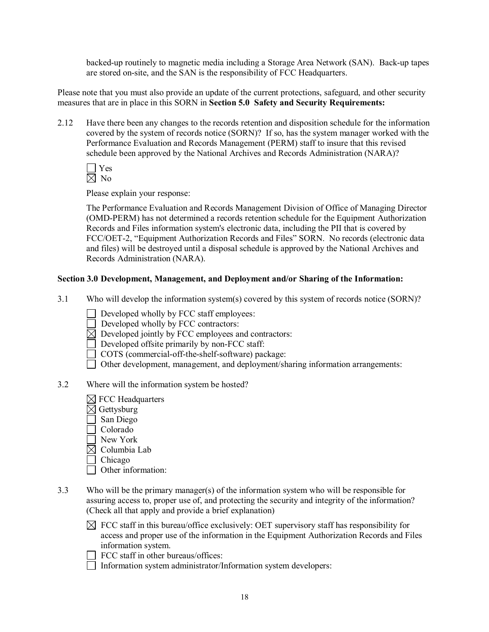backed-up routinely to magnetic media including a Storage Area Network (SAN). Back-up tapes are stored on-site, and the SAN is the responsibility of FCC Headquarters.

Please note that you must also provide an update of the current protections, safeguard, and other security measures that are in place in this SORN in **Section 5.0 Safety and Security Requirements:**

2.12 Have there been any changes to the records retention and disposition schedule for the information covered by the system of records notice (SORN)? If so, has the system manager worked with the Performance Evaluation and Records Management (PERM) staff to insure that this revised schedule been approved by the National Archives and Records Administration (NARA)?

 $\Box$  Yes  $\boxtimes$  No

Please explain your response:

The Performance Evaluation and Records Management Division of Office of Managing Director (OMD-PERM) has not determined a records retention schedule for the Equipment Authorization Records and Files information system's electronic data, including the PII that is covered by FCC/OET2, "Equipment Authorization Records and Files" SORN. No records (electronic data and files) will be destroyed until a disposal schedule is approved by the National Archives and Records Administration (NARA).

## **Section 3.0 Development, Management, and Deployment and/or Sharing of the Information:**

3.1 Who will develop the information system(s) covered by this system of records notice (SORN)?

 $\Box$  Developed wholly by FCC staff employees:

- $\Box$  Developed wholly by FCC contractors:
- $\overline{\boxtimes}$  Developed jointly by FCC employees and contractors:
- Developed offsite primarily by non-FCC staff:
- COTS (commercial-off-the-shelf-software) package:
- Other development, management, and deployment/sharing information arrangements:
- 3.2 Where will the information system be hosted?
	- $\boxtimes$  FCC Headquarters
	- $\overline{\boxtimes}$  Gettysburg
	- San Diego
	- Colorado
	- New York
	- $\boxtimes$  Columbia Lab
	- □ Chicago
	- Other information:
- 3.3 Who will be the primary manager(s) of the information system who will be responsible for assuring access to, proper use of, and protecting the security and integrity of the information? (Check all that apply and provide a brief explanation)
	- $\boxtimes$  FCC staff in this bureau/office exclusively: OET supervisory staff has responsibility for access and proper use of the information in the Equipment Authorization Records and Files information system.
	- $\Box$  FCC staff in other bureaus/offices:
	- Information system administrator/Information system developers: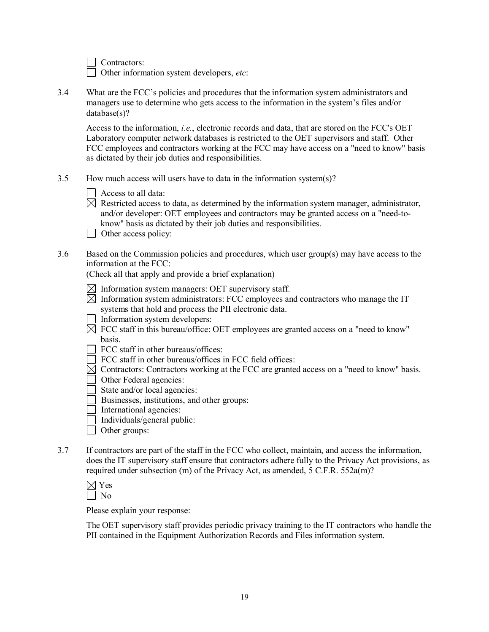Contractors:

Other information system developers, *etc*:

3.4 What are the FCC's policies and procedures that the information system administrators and managers use to determine who gets access to the information in the system's files and/or database(s)?

Access to the information, *i.e.*, electronic records and data, that are stored on the FCC's OET Laboratory computer network databases is restricted to the OET supervisors and staff. Other FCC employees and contractors working at the FCC may have access on a "need to know" basis as dictated by their job duties and responsibilities.

- 3.5 How much access will users have to data in the information system(s)?
	- $\Box$  Access to all data:
	- $\boxtimes$  Restricted access to data, as determined by the information system manager, administrator, and/or developer: OET employees and contractors may be granted access on a "need-toknow" basis as dictated by their job duties and responsibilities.
	- $\Box$  Other access policy:
- 3.6 Based on the Commission policies and procedures, which user group(s) may have access to the information at the FCC:

(Check all that apply and provide a brief explanation)

- $\boxtimes$  Information system managers: OET supervisory staff.
- $\boxtimes$  Information system administrators: FCC employees and contractors who manage the IT systems that hold and process the PII electronic data.
- $\Box$  Information system developers:
- $\boxtimes$  FCC staff in this bureau/office: OET employees are granted access on a "need to know" basis.
- FCC staff in other bureaus/offices:
- FCC staff in other bureaus/offices in FCC field offices:
- $\boxtimes$  Contractors: Contractors working at the FCC are granted access on a "need to know" basis.
- Other Federal agencies:
- State and/or local agencies:
- Businesses, institutions, and other groups:
- International agencies:
- $\Box$  Individuals/general public:
- □ Other groups:
- 3.7 If contractors are part of the staff in the FCC who collect, maintain, and access the information, does the IT supervisory staff ensure that contractors adhere fully to the Privacy Act provisions, as required under subsection (m) of the Privacy Act, as amended, 5 C.F.R. 552a(m)?

| - |  |
|---|--|
|   |  |

Please explain your response:

The OET supervisory staff provides periodic privacy training to the IT contractors who handle the PII contained in the Equipment Authorization Records and Files information system.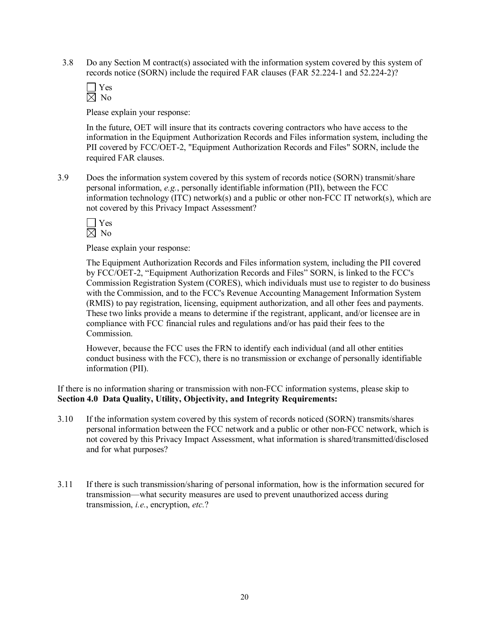3.8 Do any Section M contract(s) associated with the information system covered by this system of records notice (SORN) include the required FAR clauses (FAR 52.224-1 and 52.224-2)?

 $\Box$  Yes  $\boxtimes$  No

Please explain your response:

In the future, OET will insure that its contracts covering contractors who have access to the information in the Equipment Authorization Records and Files information system, including the PII covered by FCC/OET-2, "Equipment Authorization Records and Files" SORN, include the required FAR clauses.

3.9 Does the information system covered by this system of records notice (SORN) transmit/share personal information, *e.g.*, personally identifiable information (PII), between the FCC information technology  $(ITC)$  network $(s)$  and a public or other non-FCC IT network $(s)$ , which are not covered by this Privacy Impact Assessment?

 $\Box$  Yes  $\boxtimes$  No

Please explain your response:

The Equipment Authorization Records and Files information system, including the PII covered by FCC/OET-2, "Equipment Authorization Records and Files" SORN, is linked to the FCC's Commission Registration System (CORES), which individuals must use to register to do business with the Commission, and to the FCC's Revenue Accounting Management Information System (RMIS) to pay registration, licensing, equipment authorization, and all other fees and payments. These two links provide a means to determine if the registrant, applicant, and/or licensee are in compliance with FCC financial rules and regulations and/or has paid their fees to the **Commission** 

However, because the FCC uses the FRN to identify each individual (and all other entities conduct business with the FCC), there is no transmission or exchange of personally identifiable information (PII).

If there is no information sharing or transmission with nonFCC information systems, please skip to **Section 4.0 Data Quality, Utility, Objectivity, and Integrity Requirements:**

- 3.10 If the information system covered by this system of records noticed (SORN) transmits/shares personal information between the FCC network and a public or other nonFCC network, which is not covered by this Privacy Impact Assessment, what information is shared/transmitted/disclosed and for what purposes?
- 3.11 If there is such transmission/sharing of personal information, how is the information secured for transmission—what security measures are used to prevent unauthorized access during transmission, *i.e.*, encryption, *etc.*?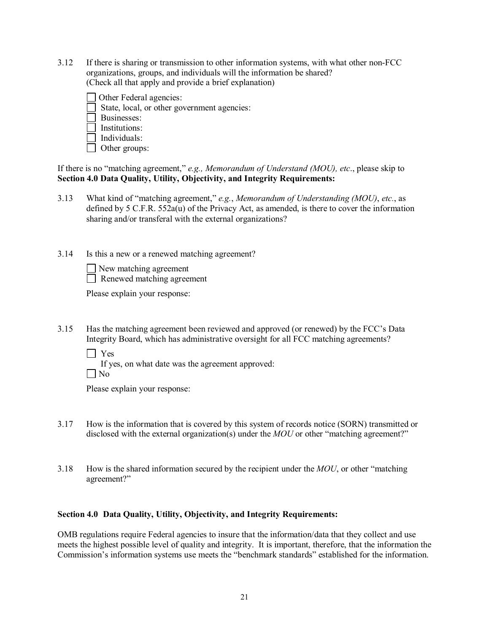3.12 If there is sharing or transmission to other information systems, with what other nonFCC organizations, groups, and individuals will the information be shared? (Check all that apply and provide a brief explanation)

Other Federal agencies: State, local, or other government agencies: **Businesses:**  $\Box$  Institutions:  $\Box$  Individuals:

□ Other groups:

If there is no "matching agreement," *e.g., Memorandum of Understand (MOU), etc*., please skip to **Section 4.0 Data Quality, Utility, Objectivity, and Integrity Requirements:**

3.13 What kind of "matching agreement," *e.g.*, *Memorandum of Understanding (MOU)*, *etc.*, as defined by 5 C.F.R. 552a(u) of the Privacy Act, as amended, is there to cover the information sharing and/or transferal with the external organizations?

3.14 Is this a new or a renewed matching agreement?

New matching agreement Renewed matching agreement

Please explain your response:

3.15 Has the matching agreement been reviewed and approved (or renewed) by the FCC's Data Integrity Board, which has administrative oversight for all FCC matching agreements?

Yes

If yes, on what date was the agreement approved:

 $\Box$  No

Please explain your response:

- 3.17 How is the information that is covered by this system of records notice (SORN) transmitted or disclosed with the external organization(s) under the *MOU* or other "matching agreement?"
- 3.18 How is the shared information secured by the recipient under the *MOU*, or other "matching agreement?"

## **Section 4.0 Data Quality, Utility, Objectivity, and Integrity Requirements:**

OMB regulations require Federal agencies to insure that the information/data that they collect and use meets the highest possible level of quality and integrity. It is important, therefore, that the information the Commission's information systems use meets the "benchmark standards" established for the information.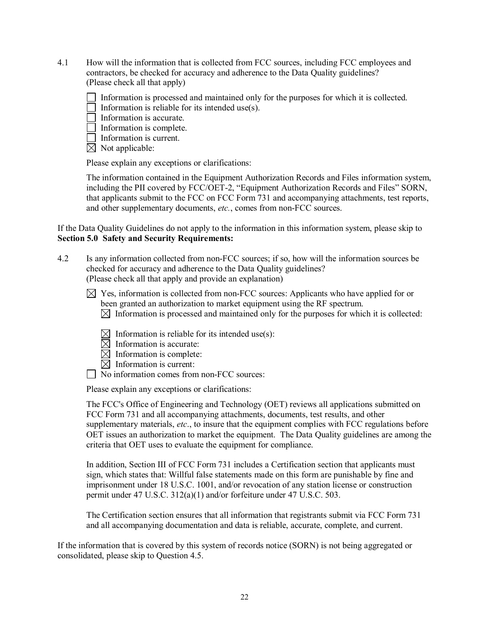- 4.1 How will the information that is collected from FCC sources, including FCC employees and contractors, be checked for accuracy and adherence to the Data Quality guidelines? (Please check all that apply)
	- Information is processed and maintained only for the purposes for which it is collected.
	- Information is reliable for its intended use(s).
	- $\Box$  Information is accurate.
	- Information is complete.
	- $\Box$  Information is current.
	- $\boxtimes$  Not applicable:

Please explain any exceptions or clarifications:

The information contained in the Equipment Authorization Records and Files information system, including the PII covered by FCC/OET-2, "Equipment Authorization Records and Files" SORN, that applicants submit to the FCC on FCC Form 731 and accompanying attachments, test reports, and other supplementary documents, *etc.*, comes from non-FCC sources.

If the Data Quality Guidelines do not apply to the information in this information system, please skip to **Section 5.0 Safety and Security Requirements:**

- 4.2 Is any information collected from nonFCC sources; if so, how will the information sources be checked for accuracy and adherence to the Data Quality guidelines? (Please check all that apply and provide an explanation)
	- $\boxtimes$  Yes, information is collected from non-FCC sources: Applicants who have applied for or been granted an authorization to market equipment using the RF spectrum.  $\boxtimes$  Information is processed and maintained only for the purposes for which it is collected:
		- $\boxtimes$  Information is reliable for its intended use(s):
		- $\boxtimes$  Information is accurate:
		- $\boxtimes$  Information is complete:
		- $\boxtimes$  Information is current:
	- $\Box$  No information comes from non-FCC sources:

Please explain any exceptions or clarifications:

The FCC's Office of Engineering and Technology (OET) reviews all applications submitted on FCC Form 731 and all accompanying attachments, documents, test results, and other supplementary materials, *etc*., to insure that the equipment complies with FCC regulations before OET issues an authorization to market the equipment. The Data Quality guidelines are among the criteria that OET uses to evaluate the equipment for compliance.

In addition, Section III of FCC Form 731 includes a Certification section that applicants must sign, which states that: Willful false statements made on this form are punishable by fine and imprisonment under 18 U.S.C. 1001, and/or revocation of any station license or construction permit under 47 U.S.C. 312(a)(1) and/or forfeiture under 47 U.S.C. 503.

The Certification section ensures that all information that registrants submit via FCC Form 731 and all accompanying documentation and data is reliable, accurate, complete, and current.

If the information that is covered by this system of records notice (SORN) is not being aggregated or consolidated, please skip to Question 4.5.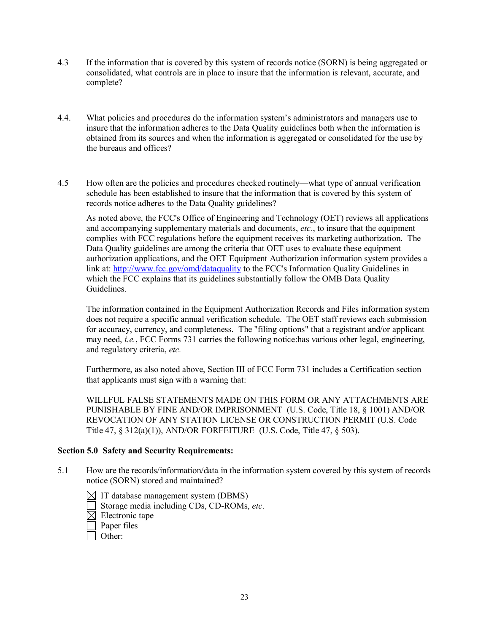- 4.3 If the information that is covered by this system of records notice (SORN) is being aggregated or consolidated, what controls are in place to insure that the information is relevant, accurate, and complete?
- 4.4. What policies and procedures do the information system's administrators and managers use to insure that the information adheres to the Data Quality guidelines both when the information is obtained from itssources and when the information is aggregated or consolidated for the use by the bureaus and offices?
- 4.5 How often are the policies and procedures checked routinely—what type of annual verification schedule has been established to insure that the information that is covered by this system of records notice adheres to the Data Quality guidelines?

As noted above, the FCC's Office of Engineering and Technology (OET) reviews all applications and accompanying supplementary materials and documents, *etc.*, to insure that the equipment complies with FCC regulations before the equipment receives its marketing authorization. The Data Quality guidelines are among the criteria that OET uses to evaluate these equipment authorization applications, and the OET Equipment Authorization information system provides a link at: http://www.fcc.gov/omd/dataquality to the FCC's Information Quality Guidelines in which the FCC explains that its guidelines substantially follow the OMB Data Quality Guidelines.

The information contained in the Equipment Authorization Records and Files information system does not require a specific annual verification schedule. The OET staff reviews each submission for accuracy, currency, and completeness. The "filing options" that a registrant and/or applicant may need, *i.e.*, FCC Forms 731 carries the following notice:has various other legal, engineering, and regulatory criteria, *etc.*

Furthermore, as also noted above, Section III of FCC Form 731 includes a Certification section that applicants must sign with a warning that:

WILLFUL FALSE STATEMENTS MADE ON THIS FORM OR ANY ATTACHMENTS ARE PUNISHABLE BY FINE AND/OR IMPRISONMENT (U.S. Code, Title 18, § 1001) AND/OR REVOCATION OF ANY STATION LICENSE OR CONSTRUCTION PERMIT (U.S. Code Title 47, § 312(a)(1)), AND/OR FORFEITURE (U.S. Code, Title 47, § 503).

#### **Section 5.0 Safety and Security Requirements:**

- 5.1 How are the records/information/data in the information system covered by this system of records notice (SORN) stored and maintained?
	- $\boxtimes$  IT database management system (DBMS) Storage media including CDs, CD-ROMs, *etc.*  $\boxtimes$  Electronic tape  $\Box$  Paper files  $\Box$  Other: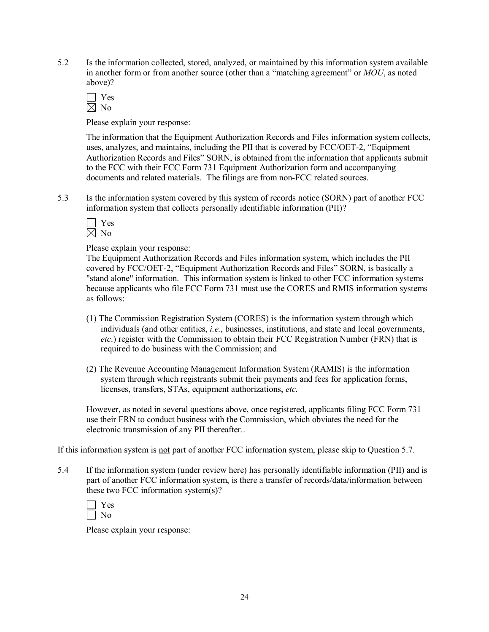5.2 Is the information collected, stored, analyzed, or maintained by this information system available in another form or from another source (other than a "matching agreement" or *MOU*, as noted above)?

Yes  $\boxtimes$  No

Please explain your response:

The information that the Equipment Authorization Records and Files information system collects, uses, analyzes, and maintains, including the PII that is covered by FCC/OET2, "Equipment Authorization Records and Files" SORN, is obtained from the information that applicants submit to the FCC with their FCC Form 731 Equipment Authorization form and accompanying documents and related materials. The filings are from non-FCC related sources.

5.3 Is the information system covered by this system of records notice (SORN) part of another FCC information system that collects personally identifiable information (PII)?

Please explain your response:

The Equipment Authorization Records and Files information system, which includes the PII covered by FCC/OET2, "Equipment Authorization Records and Files" SORN, is basically a "stand alone" information. This information system is linked to other FCC information systems because applicants who file FCC Form 731 must use the CORES and RMIS information systems as follows:

- (1) The Commission Registration System (CORES) is the information system through which individuals (and other entities, *i.e.*, businesses, institutions, and state and local governments, *etc*.) register with the Commission to obtain their FCC Registration Number (FRN) that is required to do business with the Commission; and
- (2) The Revenue Accounting Management Information System (RAMIS) is the information system through which registrants submit their payments and fees for application forms, licenses, transfers, STAs, equipment authorizations, *etc.*

However, as noted in several questions above, once registered, applicants filing FCC Form 731 use their FRN to conduct business with the Commission, which obviates the need for the electronic transmission of any PII thereafter..

If this information system is not part of another FCC information system, please skip to Question 5.7.

5.4 If the information system (under review here) has personally identifiable information (PII) and is part of another FCC information system, is there a transfer of records/data/information between these two FCC information system(s)?

| ∺ |  |
|---|--|
| ∩ |  |

Please explain your response: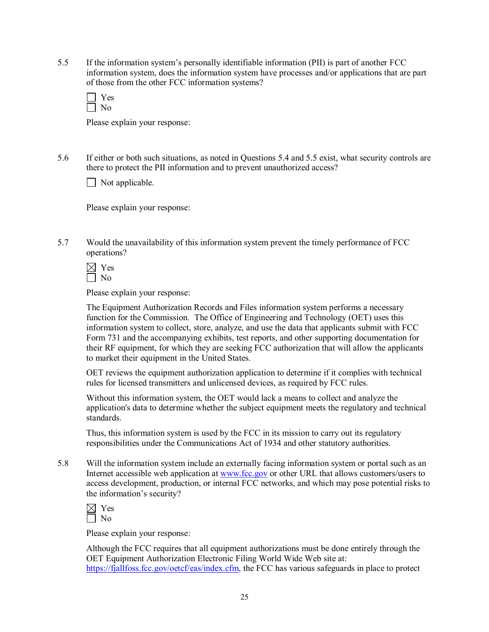5.5 If the information system's personally identifiable information (PII) is part of another FCC information system, does the information system have processes and/or applications that are part of those from the other FCC information systems?

| -- |
|----|
|    |

Please explain your response:

5.6 If either or both such situations, as noted in Questions 5.4 and 5.5 exist, what security controls are there to protect the PII information and to prevent unauthorized access?

Not applicable.

Please explain your response:

5.7 Would the unavailability of this information system prevent the timely performance of FCC operations?

 $\boxtimes$  Yes  $\Box$  No

Please explain your response:

The Equipment Authorization Records and Files information system performs a necessary function for the Commission. The Office of Engineering and Technology (OET) uses this information system to collect, store, analyze, and use the data that applicants submit with FCC Form 731 and the accompanying exhibits, test reports, and other supporting documentation for their RF equipment, for which they are seeking FCC authorization that will allow the applicants to market their equipment in the United States.

OET reviews the equipment authorization application to determine if it complies with technical rules for licensed transmitters and unlicensed devices, as required by FCC rules.

Without this information system, the OET would lack a means to collect and analyze the application's data to determine whether the subject equipment meets the regulatory and technical standards.

Thus, this information system is used by the FCC in its mission to carry out its regulatory responsibilities under the Communications Act of 1934 and other statutory authorities.

5.8 Will the information system include an externally facing information system or portal such as an Internet accessible web application at [www.fcc.gov](http://www.fcc.gov/) or other URL that allows customers/users to access development, production, or internal FCC networks, and which may pose potential risks to the information's security?

| ١<br>÷ |  |
|--------|--|
|        |  |

Please explain your response:

Although the FCC requires that all equipment authorizations must be done entirely through the OET Equipment Authorization Electronic Filing World Wide Web site at: https://fjallfoss.fcc.gov/oetcf/eas/index.cfm, the FCC has various safeguards in place to protect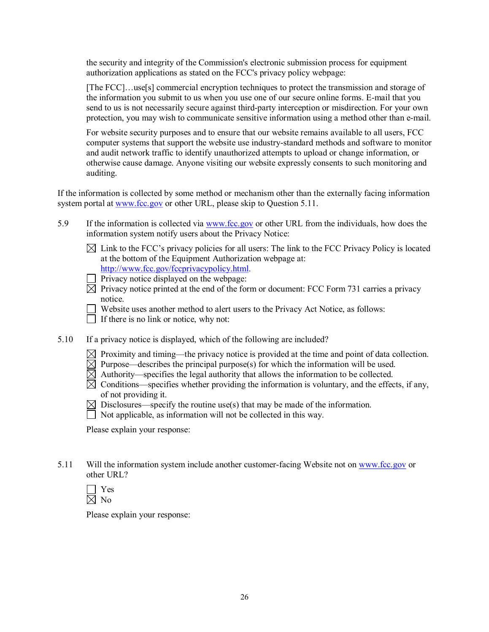the security and integrity of the Commission's electronic submission process for equipment authorization applications as stated on the FCC's privacy policy webpage:

[The FCC]...use[s] commercial encryption techniques to protect the transmission and storage of the information you submit to us when you use one of our secure online forms. E-mail that you send to us is not necessarily secure against third-party interception or misdirection. For your own protection, you may wish to communicate sensitive information using a method other than email.

For website security purposes and to ensure that our website remains available to all users, FCC computer systems that support the website use industry-standard methods and software to monitor and audit network traffic to identify unauthorized attempts to upload or change information, or otherwise cause damage. Anyone visiting our website expressly consents to such monitoring and auditing.

If the information is collected by some method or mechanism other than the externally facing information system portal at [www.fcc.gov](http://www.fcc.gov/) or other URL, please skip to Question 5.11.

- 5.9 If the information is collected via [www.fcc.gov](http://www.fcc.gov/) or other URL from the individuals, how does the information system notify users about the Privacy Notice:
	- $\boxtimes$  Link to the FCC's privacy policies for all users: The link to the FCC Privacy Policy is located at the bottom of the Equipment Authorization webpage at: http://www.fcc.gov/fccprivacypolicy.html.

 $\Box$  Privacy notice displayed on the webpage:

 $\boxtimes$  Privacy notice printed at the end of the form or document: FCC Form 731 carries a privacy notice.

Website uses another method to alert users to the Privacy Act Notice, as follows:  $\Box$  If there is no link or notice, why not:

- 5.10 If a privacy notice is displayed, which of the following are included?
	- $\boxtimes$  Proximity and timing—the privacy notice is provided at the time and point of data collection.
	- $\boxtimes$  Purpose—describes the principal purpose(s) for which the information will be used.
	- $\boxtimes$  Authority—specifies the legal authority that allows the information to be collected.
	- $\boxtimes$  Conditions—specifies whether providing the information is voluntary, and the effects, if any, of not providing it.
	- $\boxtimes$  Disclosures—specify the routine use(s) that may be made of the information.
	- $\Box$  Not applicable, as information will not be collected in this way.

Please explain your response:

5.11 Will the information system include another customer-facing Website not on [www.fcc.gov](http://www.fcc.gov/) or other URL?

| ═ |  |
|---|--|
|   |  |

Please explain your response: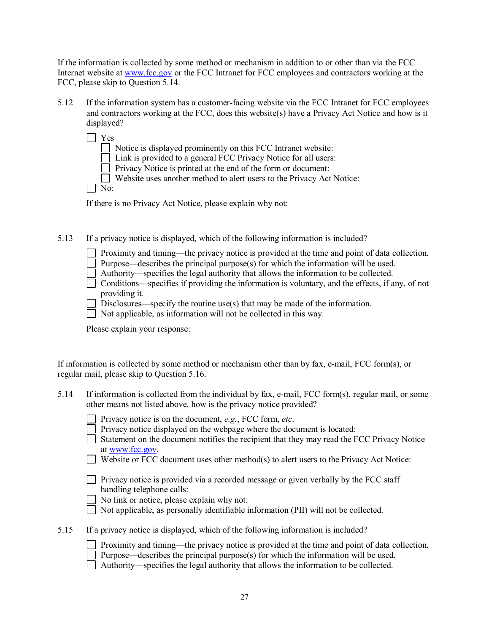If the information is collected by some method or mechanism in addition to or other than via the FCC Internet website at [www.fcc.gov](http://www.fcc.gov/) or the FCC Intranet for FCC employees and contractors working at the FCC, please skip to Question 5.14.

- 5.12 If the information system has a customer-facing website via the FCC Intranet for FCC employees and contractors working at the FCC, does this website(s) have a Privacy Act Notice and how is it displayed?
	- Yes Notice is displayed prominently on this FCC Intranet website: Link is provided to a general FCC Privacy Notice for all users:  $\Box$  Privacy Notice is printed at the end of the form or document: Website uses another method to alert users to the Privacy Act Notice:  $\Box$  No:

If there is no Privacy Act Notice, please explain why not:

5.13 If a privacy notice is displayed, which of the following information is included?

| Proximity and timing—the privacy notice is provided at the time and point of data collection. |  |  |  |  |  |  |
|-----------------------------------------------------------------------------------------------|--|--|--|--|--|--|
|-----------------------------------------------------------------------------------------------|--|--|--|--|--|--|

Purpose—describes the principal purpose(s) for which the information will be used.

Authority—specifies the legal authority that allows the information to be collected.

Conditions—specifies if providing the information is voluntary, and the effects, if any, of not providing it.

Disclosures—specify the routine use(s) that may be made of the information.

 $\Box$  Not applicable, as information will not be collected in this way.

Please explain your response:

| If information is collected by some method or mechanism other than by fax, e-mail, FCC form(s), or |  |
|----------------------------------------------------------------------------------------------------|--|
| regular mail, please skip to Question 5.16.                                                        |  |

| 5.14 | If information is collected from the individual by fax, e-mail, FCC form(s), regular mail, or some |  |
|------|----------------------------------------------------------------------------------------------------|--|
|      | other means not listed above, how is the privacy notice provided?                                  |  |

| $\Box$ Privacy notice is on the document, <i>e.g.</i> , FCC form, <i>etc.</i> |  |
|-------------------------------------------------------------------------------|--|
|-------------------------------------------------------------------------------|--|

|  |  |  |  | $\Box$ Privacy notice displayed on the webpage where the document is located: |  |
|--|--|--|--|-------------------------------------------------------------------------------|--|
|--|--|--|--|-------------------------------------------------------------------------------|--|

|                 | $\Box$ Statement on the document notifies the recipient that they may read the FCC Privacy Notice |
|-----------------|---------------------------------------------------------------------------------------------------|
| at www.fcc.gov. |                                                                                                   |

 $\Box$  Website or FCC document uses other method(s) to alert users to the Privacy Act Notice:

 $\Box$  Privacy notice is provided via a recorded message or given verbally by the FCC staff handling telephone calls:

 $\Box$  No link or notice, please explain why not:

| $\perp$ Not applicable, as personally identifiable information (PII) will not be collected. |
|---------------------------------------------------------------------------------------------|
|---------------------------------------------------------------------------------------------|

| 5.15 |  |  | If a privacy notice is displayed, which of the following information is included? |  |
|------|--|--|-----------------------------------------------------------------------------------|--|
|------|--|--|-----------------------------------------------------------------------------------|--|

| Proximity and timing—the privacy notice is provided at the time and point of data collection. |  |  |  |
|-----------------------------------------------------------------------------------------------|--|--|--|
|                                                                                               |  |  |  |

Purpose—describes the principal purpose(s) for which the information will be used.

Authority—specifies the legal authority that allows the information to be collected.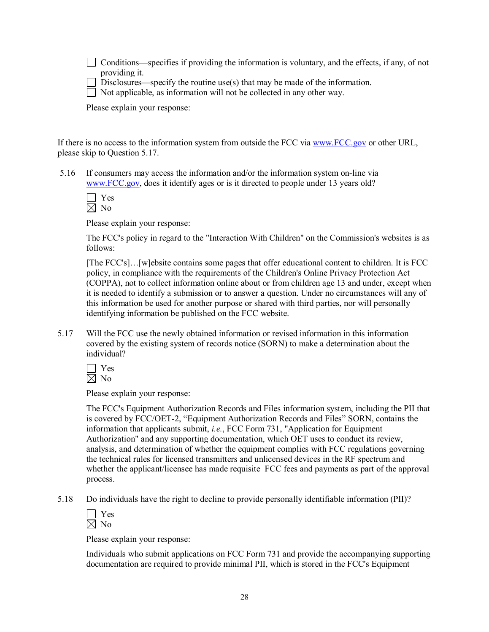$\Box$  Conditions—specifies if providing the information is voluntary, and the effects, if any, of not providing it.

Disclosures—specify the routine use(s) that may be made of the information.

 $\Box$  Not applicable, as information will not be collected in any other way.

Please explain your response:

If there is no access to the information system from outside the FCC via [www.FCC.gov](http://www.fcc.gov/) or other URL, please skip to Question 5.17.

5.16 If consumers may access the information and/or the information system on-line via www.FCC.gov, does it identify ages or is it directed to people under 13 years old?

Please explain your response:

The FCC's policy in regard to the "Interaction With Children" on the Commission's websites is as follows:

[The FCC's]…[w]ebsite contains some pages that offer educational content to children. It is FCC policy, in compliance with the requirements of the Children's Online Privacy Protection Act (COPPA), not to collect information online about or from children age 13 and under, except when it is needed to identify a submission or to answer a question. Under no circumstances will any of this information be used for another purpose or shared with third parties, nor will personally identifying information be published on the FCC website.

5.17 Will the FCC use the newly obtained information or revised information in this information covered by the existing system of records notice (SORN) to make a determination about the individual?

Yes  $\boxtimes$  No

Please explain your response:

The FCC's Equipment Authorization Records and Files information system, including the PII that is covered by FCC/OET2, "Equipment Authorization Records and Files" SORN, contains the information that applicants submit, *i.e.*, FCC Form 731, "Application for Equipment Authorization" and any supporting documentation, which OET uses to conduct its review, analysis, and determination of whether the equipment complies with FCC regulations governing the technical rules for licensed transmitters and unlicensed devices in the RF spectrum and whether the applicant/licensee has made requisite FCC fees and payments as part of the approval process.

5.18 Do individuals have the right to decline to provide personally identifiable information (PII)?

| Y<br>es |  |
|---------|--|
| N.<br>റ |  |

Please explain your response:

Individuals who submit applications on FCC Form 731 and provide the accompanying supporting documentation are required to provide minimal PII, which is stored in the FCC's Equipment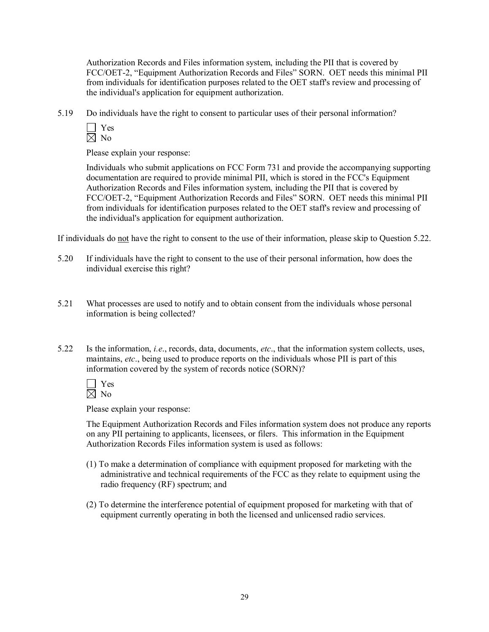Authorization Records and Files information system, including the PII that is covered by FCC/OET-2, "Equipment Authorization Records and Files" SORN. OET needs this minimal PII from individuals for identification purposes related to the OET staff's review and processing of the individual's application for equipment authorization.

5.19 Do individuals have the right to consent to particular uses of their personal information?

| Y<br>es |  |
|---------|--|
| V<br>റ  |  |

Please explain your response:

Individuals who submit applications on FCC Form 731 and provide the accompanying supporting documentation are required to provide minimal PII, which is stored in the FCC's Equipment Authorization Records and Files information system, including the PII that is covered by FCC/OET-2, "Equipment Authorization Records and Files" SORN. OET needs this minimal PII from individuals for identification purposes related to the OET staff's review and processing of the individual's application for equipment authorization.

If individuals do not have the right to consent to the use of their information, please skip to Question 5.22.

- 5.20 If individuals have the right to consent to the use of their personal information, how does the individual exercise this right?
- 5.21 What processes are used to notify and to obtain consent from the individuals whose personal information is being collected?
- 5.22 Is the information, *i.e*., records, data, documents, *etc*., that the information system collects, uses, maintains, *etc*., being used to produce reports on the individuals whose PII is part of this information covered by the system of records notice (SORN)?

| ×.<br>÷ |  |
|---------|--|
| ٠<br>ገ  |  |

Please explain your response:

The Equipment Authorization Records and Files information system does not produce any reports on any PII pertaining to applicants, licensees, or filers. This information in the Equipment Authorization Records Files information system is used as follows:

- (1) To make a determination of compliance with equipment proposed for marketing with the administrative and technical requirements of the FCC as they relate to equipment using the radio frequency (RF) spectrum; and
- (2) To determine the interference potential of equipment proposed for marketing with that of equipment currently operating in both the licensed and unlicensed radio services.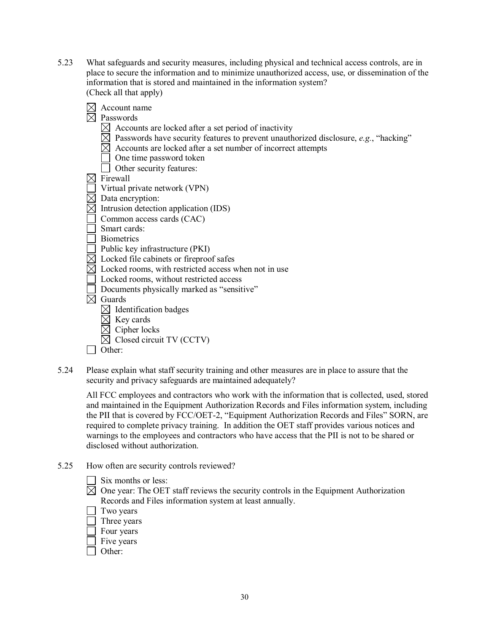- 5.23 What safeguards and security measures, including physical and technical access controls, are in place to secure the information and to minimize unauthorized access, use, or dissemination of the information that is stored and maintained in the information system? (Check all that apply)
	- $\boxtimes$  Account name  $\nabla$  Passwords  $\boxtimes$  Accounts are locked after a set period of inactivity  $\boxtimes$  Passwords have security features to prevent unauthorized disclosure, *e.g.*, "hacking"  $\boxtimes$  Accounts are locked after a set number of incorrect attempts One time password token Other security features:  $\boxtimes$  Firewall  $\Box$  Virtual private network (VPN)  $\overline{\boxtimes}$  Data encryption:  $\boxtimes$  Intrusion detection application (IDS) Common access cards (CAC) Smart cards: Biometrics Public key infrastructure (PKI)  $\boxtimes$  Locked file cabinets or fireproof safes  $\boxtimes$  Locked rooms, with restricted access when not in use Locked rooms, without restricted access Documents physically marked as "sensitive"  $\overline{\boxtimes}$  Guards  $\boxtimes$  Identification badges  $\boxtimes$  Key cards  $\boxtimes$  Cipher locks  $\boxtimes$  Closed circuit TV (CCTV) **Other:**
- 5.24 Please explain what staff security training and other measures are in place to assure that the security and privacy safeguards are maintained adequately?

All FCC employees and contractors who work with the information that is collected, used, stored and maintained in the Equipment Authorization Records and Files information system, including the PII that is covered by FCC/OET2, "Equipment Authorization Records and Files" SORN, are required to complete privacy training. In addition the OET staff provides various notices and warnings to the employees and contractors who have access that the PII is not to be shared or disclosed without authorization.

- 5.25 How often are security controls reviewed?
	- $\Box$  Six months or less:
	- $\boxtimes$  One year: The OET staff reviews the security controls in the Equipment Authorization Records and Files information system at least annually.
	- $\Box$  Two years
	- Three years
	- Four years
	- $\top$  Five years
	- Other: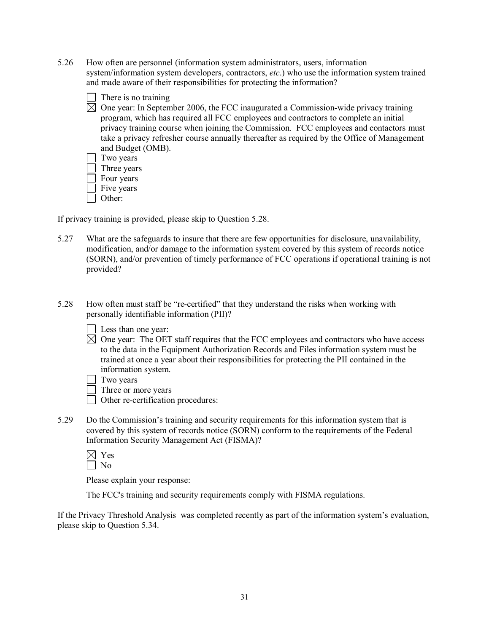- 5.26 How often are personnel (information system administrators, users, information system/information system developers, contractors, *etc*.) who use the information system trained and made aware of their responsibilities for protecting the information?
	- $\boxtimes$  One year: In September 2006, the FCC inaugurated a Commission-wide privacy training program, which has required all FCC employees and contractors to complete an initial privacy training course when joining the Commission. FCC employees and contactors must take a privacy refresher course annually thereafter as required by the Office of Management and Budget (OMB).  $\Box$  Two years Three years Four years Five years

 $\Box$  There is no training

 $\Box$  Other:

If privacy training is provided, please skip to Question 5.28.

- 5.27 What are the safeguards to insure that there are few opportunities for disclosure, unavailability, modification, and/or damage to the information system covered by this system of records notice (SORN), and/or prevention of timely performance of FCC operations if operational training is not provided?
- 5.28 How often must staff be "recertified" that they understand the risks when working with personally identifiable information (PII)?
	- $\Box$  Less than one year:
	- $\boxtimes$  One year: The OET staff requires that the FCC employees and contractors who have access to the data in the Equipment Authorization Records and Files information system must be trained at once a year about their responsibilities for protecting the PII contained in the information system.
	- $\Box$  Two years
	- Three or more years
	- $\Box$  Other re-certification procedures:
- 5.29 Do the Commission's training and security requirements for this information system that is covered by this system of records notice (SORN) conform to the requirements of the Federal Information Security Management Act (FISMA)?
	- $\boxtimes$  Yes No

Please explain your response:

The FCC's training and security requirements comply with FISMA regulations.

If the Privacy Threshold Analysis was completed recently as part of the information system's evaluation, please skip to Question 5.34.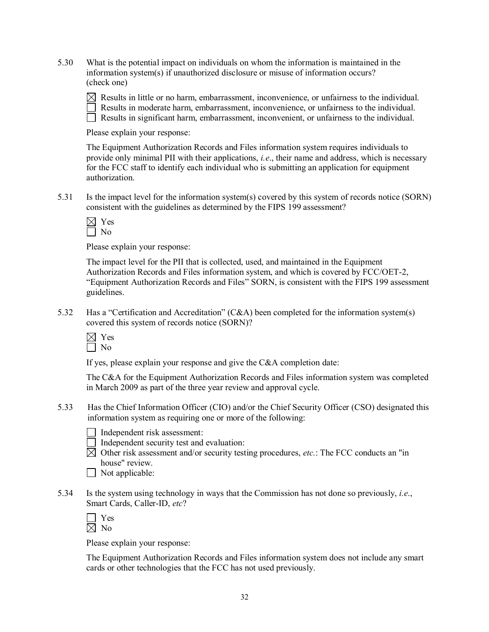5.30 What is the potential impact on individuals on whom the information is maintained in the information system(s) if unauthorized disclosure or misuse of information occurs? (check one)

 $\boxtimes$  Results in little or no harm, embarrassment, inconvenience, or unfairness to the individual. Results in moderate harm, embarrassment, inconvenience, or unfairness to the individual. Results in significant harm, embarrassment, inconvenient, or unfairness to the individual.

Please explain your response:

The Equipment Authorization Records and Files information system requires individuals to provide only minimal PII with their applications, *i.e*., their name and address, which is necessary for the FCC staff to identify each individual who is submitting an application for equipment authorization.

5.31 Is the impact level for the information system(s) covered by this system of records notice (SORN) consistent with the guidelines as determined by the FIPS 199 assessment?

| Ξ |  |
|---|--|
|   |  |

Please explain your response:

The impact level for the PII that is collected, used, and maintained in the Equipment Authorization Records and Files information system, and which is covered by FCC/OET2, "Equipment Authorization Records and Files" SORN, is consistent with the FIPS 199 assessment guidelines.

5.32 Has a "Certification and Accreditation" (C&A) been completed for the information system(s) covered this system of records notice (SORN)?

 $\boxtimes$  Yes  $\Box$  No

If yes, please explain your response and give the C&A completion date:

The C&A for the Equipment Authorization Records and Files information system was completed in March 2009 as part of the three year review and approval cycle.

5.33 Has the Chief Information Officer (CIO) and/or the Chief Security Officer (CSO) designated this information system as requiring one or more of the following:

Independent risk assessment:

- Independent security test and evaluation:
- $\boxtimes$  Other risk assessment and/or security testing procedures, *etc.*: The FCC conducts an "in" house" review.

| $\Box$ Not applicable: |
|------------------------|
|------------------------|

5.34 Is the system using technology in ways that the Commission has not done so previously, *i.e*., Smart Cards, Caller-ID, *etc*?

| − |  |
|---|--|
|   |  |

Please explain your response:

The Equipment Authorization Records and Files information system does not include any smart cards or other technologies that the FCC has not used previously.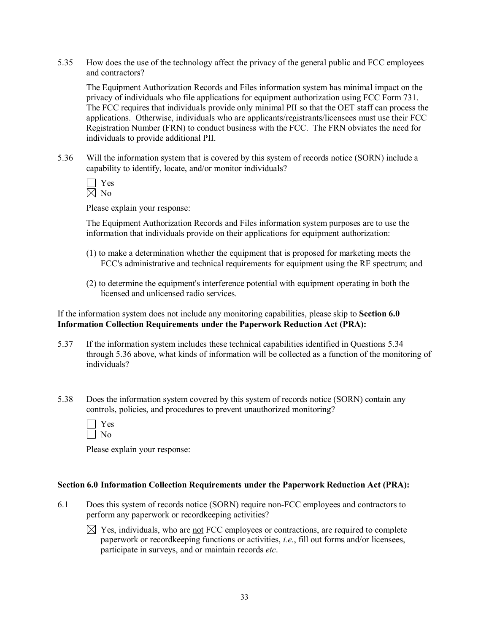5.35 How does the use of the technology affect the privacy of the general public and FCC employees and contractors?

The Equipment Authorization Records and Files information system has minimal impact on the privacy of individuals who file applications for equipment authorization using FCC Form 731. The FCC requires that individuals provide only minimal PII so that the OET staff can process the applications. Otherwise, individuals who are applicants/registrants/licensees must use their FCC Registration Number (FRN) to conduct business with the FCC. The FRN obviates the need for individuals to provide additional PII.

5.36 Will the information system that is covered by this system of records notice (SORN) include a capability to identify, locate, and/or monitor individuals?

$$
\frac{\square}{\boxtimes} \frac{\text{Yes}}{\text{No}}
$$

Please explain your response:

The Equipment Authorization Records and Files information system purposes are to use the information that individuals provide on their applications for equipment authorization:

- (1) to make a determination whether the equipment that is proposed for marketing meets the FCC's administrative and technical requirements for equipment using the RF spectrum; and
- (2) to determine the equipment's interference potential with equipment operating in both the licensed and unlicensed radio services.

If the information system does not include any monitoring capabilities, please skip to **Section 6.0 Information Collection Requirements under the Paperwork Reduction Act (PRA):**

- 5.37 If the information system includes these technical capabilities identified in Questions 5.34 through 5.36 above, what kinds of information will be collected as a function of the monitoring of individuals?
- 5.38 Does the information system covered by this system of records notice (SORN) contain any controls, policies, and procedures to prevent unauthorized monitoring?

| ═ |  |
|---|--|
|   |  |

Please explain your response:

#### **Section 6.0 Information Collection Requirements under the Paperwork Reduction Act (PRA):**

- 6.1 Does this system of records notice (SORN) require non-FCC employees and contractors to perform any paperwork or recordkeeping activities?
	- $\boxtimes$  Yes, individuals, who are not FCC employees or contractions, are required to complete paperwork or recordkeeping functions or activities, *i.e.*, fill out forms and/or licensees, participate in surveys, and or maintain records *etc*.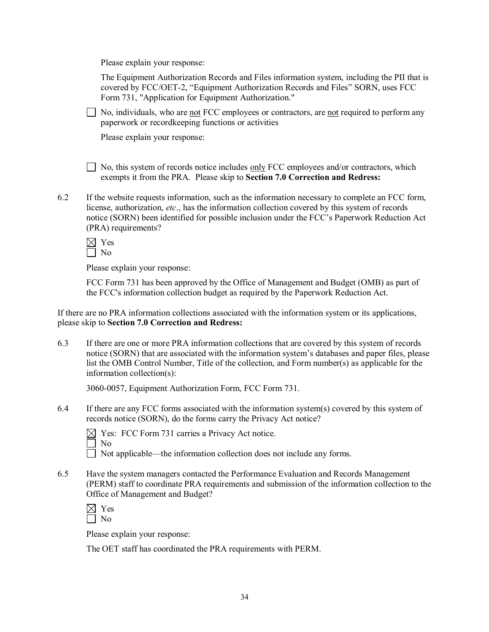Please explain your response:

The Equipment Authorization Records and Files information system, including the PII that is covered by FCC/OET2, "Equipment Authorization Records and Files" SORN, uses FCC Form 731, "Application for Equipment Authorization."

 $\Box$  No, individuals, who are <u>not</u> FCC employees or contractors, are <u>not</u> required to perform any paperwork or recordkeeping functions or activities

Please explain your response:

 $\Box$  No, this system of records notice includes only FCC employees and/or contractors, which exempts it from the PRA. Please skip to **Section 7.0 Correction and Redress:**

6.2 If the website requests information, such as the information necessary to complete an FCC form, license, authorization, *etc*., has the information collection covered by this system of records notice (SORN) been identified for possible inclusion under the FCC's Paperwork Reduction Act (PRA) requirements?

| = |  |
|---|--|
| ٦ |  |

Please explain your response:

FCC Form 731 has been approved by the Office of Management and Budget (OMB) as part of the FCC's information collection budget as required by the Paperwork Reduction Act.

If there are no PRA information collections associated with the information system or its applications, please skip to **Section 7.0 Correction and Redress:**

6.3 If there are one or more PRA information collections that are covered by this system of records notice (SORN) that are associated with the information system's databases and paper files, please list the OMB Control Number, Title of the collection, and Form number(s) as applicable for the information collection(s):

3060-0057, Equipment Authorization Form, FCC Form 731.

6.4 If there are any FCC forms associated with the information system(s) covered by this system of records notice (SORN), do the forms carry the Privacy Act notice?

 $\boxtimes$  Yes: FCC Form 731 carries a Privacy Act notice.

No

Not applicable—the information collection does not include any forms.

6.5 Have the system managers contacted the Performance Evaluation and Records Management (PERM) staff to coordinate PRA requirements and submission of the information collection to the Office of Management and Budget?

 $\boxtimes$  Yes  $\Box$  No

Please explain your response:

The OET staff has coordinated the PRA requirements with PERM.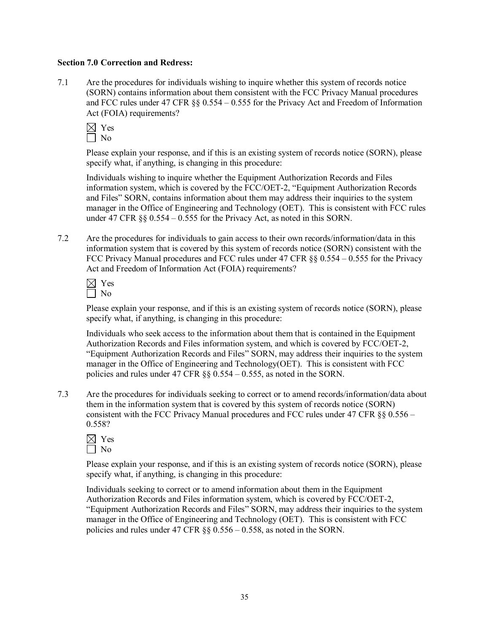#### **Section 7.0 Correction and Redress:**

7.1 Are the procedures for individuals wishing to inquire whether this system of records notice (SORN) contains information about them consistent with the FCC Privacy Manual procedures and FCC rules under 47 CFR §§ 0.554 – 0.555 for the Privacy Act and Freedom of Information Act (FOIA) requirements?

| ٠<br>- |  |
|--------|--|
|        |  |

Please explain your response, and if this is an existing system of records notice (SORN), please specify what, if anything, is changing in this procedure:

Individuals wishing to inquire whether the Equipment Authorization Records and Files information system, which is covered by the FCC/OET2, "Equipment Authorization Records and Files" SORN, contains information about them may address their inquiries to the system manager in the Office of Engineering and Technology (OET). This is consistent with FCC rules under 47 CFR §§ 0.554 – 0.555 for the Privacy Act, as noted in this SORN.

7.2 Are the procedures for individuals to gain access to their own records/information/data in this information system that is covered by this system of records notice (SORN) consistent with the FCC Privacy Manual procedures and FCC rules under 47 CFR §§ 0.554 – 0.555 for the Privacy Act and Freedom of Information Act (FOIA) requirements?

| -        |  |
|----------|--|
| . 1<br>ገ |  |

Please explain your response, and if this is an existing system of records notice (SORN), please specify what, if anything, is changing in this procedure:

Individuals who seek access to the information about them that is contained in the Equipment Authorization Records and Files information system, and which is covered by FCC/OET-2. "Equipment Authorization Records and Files" SORN, may address their inquiries to the system manager in the Office of Engineering and Technology(OET). This is consistent with FCC policies and rules under 47 CFR §§ 0.554 – 0.555, as noted in the SORN.

7.3 Are the procedures for individuals seeking to correct or to amend records/information/data about them in the information system that is covered by this system of records notice (SORN) consistent with the FCC Privacy Manual procedures and FCC rules under 47 CFR  $\S$ § 0.556 – 0.558?

| −      |  |
|--------|--|
| í<br>∩ |  |

Please explain your response, and if this is an existing system of records notice (SORN), please specify what, if anything, is changing in this procedure:

Individuals seeking to correct or to amend information about them in the Equipment Authorization Records and Files information system, which is covered by FCC/OET2, "Equipment Authorization Records and Files" SORN, may address their inquiries to the system manager in the Office of Engineering and Technology (OET). This is consistent with FCC policies and rules under 47 CFR §§ 0.556 – 0.558, as noted in the SORN.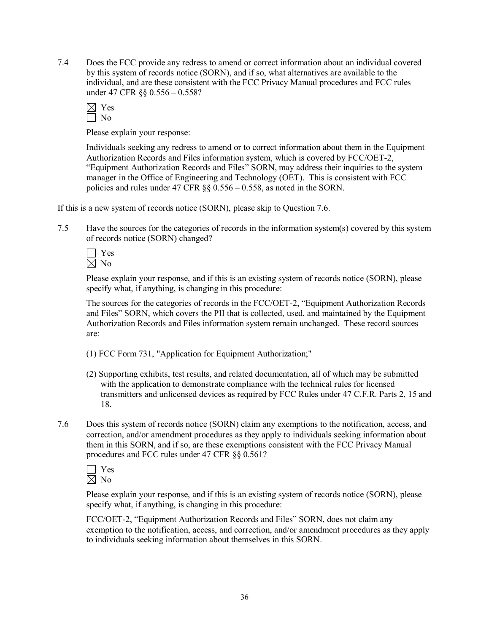7.4 Does the FCC provide any redress to amend or correct information about an individual covered by this system of records notice (SORN), and if so, what alternatives are available to the individual, and are these consistent with the FCC Privacy Manual procedures and FCC rules under 47 CFR §§ 0.556 – 0.558?

| ╾<br>۰ |  |
|--------|--|
| ï<br>١ |  |

Please explain your response:

Individuals seeking any redress to amend or to correct information about them in the Equipment Authorization Records and Files information system, which is covered by FCC/OET2, "Equipment Authorization Records and Files" SORN, may address their inquiries to the system manager in the Office of Engineering and Technology (OET). This is consistent with FCC policies and rules under 47 CFR §§ 0.556 – 0.558, as noted in the SORN.

If this is a new system of records notice (SORN), please skip to Question 7.6.

7.5 Have the sources for the categories of records in the information system(s) covered by this system of records notice (SORN) changed?



Please explain your response, and if this is an existing system of records notice (SORN), please specify what, if anything, is changing in this procedure:

The sources for the categories of records in the FCC/OET-2, "Equipment Authorization Records and Files" SORN, which covers the PII that is collected, used, and maintained by the Equipment Authorization Records and Files information system remain unchanged. These record sources are:

- (1) FCC Form 731, "Application for Equipment Authorization;"
- (2) Supporting exhibits, test results, and related documentation, all of which may be submitted with the application to demonstrate compliance with the technical rules for licensed transmitters and unlicensed devices as required by FCC Rules under 47 C.F.R. Parts 2, 15 and 18.
- 7.6 Does this system of records notice (SORN) claim any exemptions to the notification, access, and correction, and/or amendment procedures as they apply to individuals seeking information about them in this SORN, and if so, are these exemptions consistent with the FCC Privacy Manual procedures and FCC rules under 47 CFR §§ 0.561?

Yes  $\boxtimes$  No

Please explain your response, and if this is an existing system of records notice (SORN), please specify what, if anything, is changing in this procedure:

FCC/OET2, "Equipment Authorization Records and Files" SORN, does not claim any exemption to the notification, access, and correction, and/or amendment procedures as they apply to individuals seeking information about themselves in this SORN.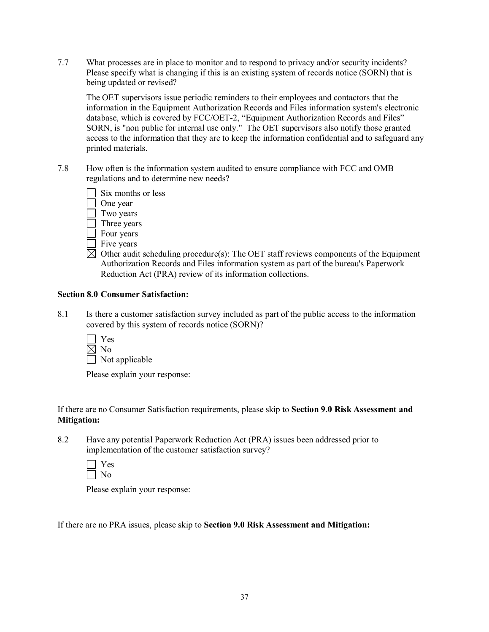7.7 What processes are in place to monitor and to respond to privacy and/or security incidents? Please specify what is changing if this is an existing system of records notice (SORN) that is being updated or revised?

The OET supervisors issue periodic reminders to their employees and contactors that the information in the Equipment Authorization Records and Files information system's electronic database, which is covered by FCC/OET-2, "Equipment Authorization Records and Files" SORN, is "non public for internal use only." The OET supervisors also notify those granted access to the information that they are to keep the information confidential and to safeguard any printed materials.

7.8 How often is the information system audited to ensure compliance with FCC and OMB regulations and to determine new needs?

| Six months or less   |
|----------------------|
| $\bigcap_{n \geq 1}$ |

One year

- Two years Three years
- Four years
- $\Box$  Five years
- $\boxtimes$  Other audit scheduling procedure(s): The OET staff reviews components of the Equipment Authorization Records and Files information system as part of the bureau's Paperwork Reduction Act (PRA) review of its information collections.

## **Section 8.0 Consumer Satisfaction:**

- 8.1 Is there a customer satisfaction survey included as part of the public access to the information covered by this system of records notice (SORN)?
	- Yes  $\boxtimes$  No  $\Box$  Not applicable

Please explain your response:

If there are no Consumer Satisfaction requirements, please skip to **Section 9.0 Risk Assessment and Mitigation:**

8.2 Have any potential Paperwork Reduction Act (PRA) issues been addressed prior to implementation of the customer satisfaction survey?

| - |
|---|
|   |

Please explain your response:

If there are no PRA issues, please skip to **Section 9.0 Risk Assessment and Mitigation:**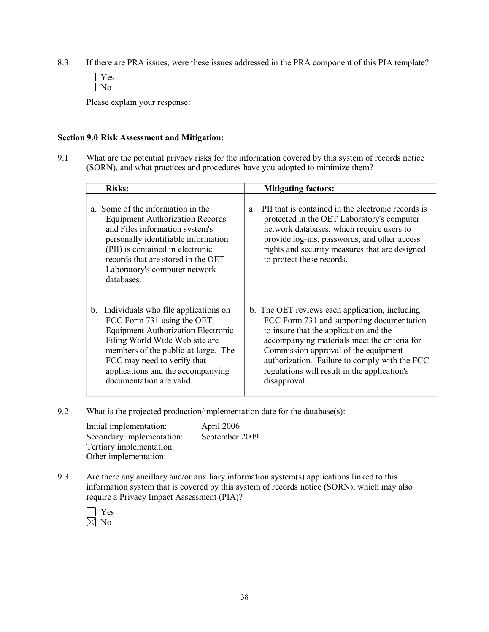8.3 If there are PRA issues, were these issues addressed in the PRA component of this PIA template?

Please explain your response:

#### **Section 9.0 Risk Assessment and Mitigation:**

9.1 What are the potential privacy risks for the information covered by this system of records notice (SORN), and what practices and procedures have you adopted to minimize them?

| <b>Risks:</b>                                                                                                                                                                                                                                                                                           | <b>Mitigating factors:</b>                                                                                                                                                                                                                                                                                                                     |  |
|---------------------------------------------------------------------------------------------------------------------------------------------------------------------------------------------------------------------------------------------------------------------------------------------------------|------------------------------------------------------------------------------------------------------------------------------------------------------------------------------------------------------------------------------------------------------------------------------------------------------------------------------------------------|--|
| Some of the information in the<br>a.<br><b>Equipment Authorization Records</b><br>and Files information system's<br>personally identifiable information<br>(PII) is contained in electronic<br>records that are stored in the OET<br>Laboratory's computer network<br>databases.                        | PII that is contained in the electronic records is<br>a.<br>protected in the OET Laboratory's computer<br>network databases, which require users to<br>provide log-ins, passwords, and other access<br>rights and security measures that are designed<br>to protect these records.                                                             |  |
| Individuals who file applications on<br>$b_{\cdot}$<br>FCC Form 731 using the OET<br><b>Equipment Authorization Electronic</b><br>Filing World Wide Web site are<br>members of the public-at-large. The<br>FCC may need to verify that<br>applications and the accompanying<br>documentation are valid. | b. The OET reviews each application, including<br>FCC Form 731 and supporting documentation<br>to insure that the application and the<br>accompanying materials meet the criteria for<br>Commission approval of the equipment<br>authorization. Failure to comply with the FCC<br>regulations will result in the application's<br>disapproval. |  |

9.2 What is the projected production/implementation date for the database(s):

| Initial implementation:   | April 2006     |
|---------------------------|----------------|
| Secondary implementation: | September 2009 |
| Tertiary implementation:  |                |
| Other implementation:     |                |

9.3 Are there any ancillary and/or auxiliary information system(s) applications linked to this information system that is covered by this system of records notice (SORN), which may also require a Privacy Impact Assessment (PIA)?

| - |  |
|---|--|
|   |  |